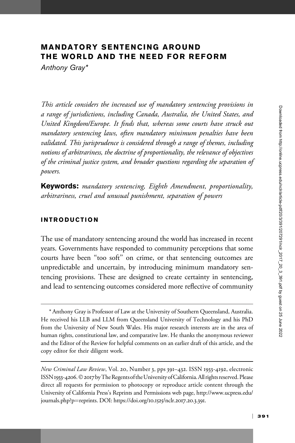# MANDATORY SENTENCING AROUND THE WORLD AND THE NEED FOR REFORM

Anthony Gray\*

This article considers the increased use of mandatory sentencing provisions in a range of jurisdictions, including Canada, Australia, the United States, and United Kingdom/Europe. It finds that, whereas some courts have struck out mandatory sentencing laws, often mandatory minimum penalties have been validated. This jurisprudence is considered through a range of themes, including notions of arbitrariness, the doctrine of proportionality, the relevance of objectives of the criminal justice system, and broader questions regarding the separation of powers.

Keywords: mandatory sentencing, Eighth Amendment, proportionality, arbitrariness, cruel and unusual punishment, separation of powers

## INTRODUCTION

The use of mandatory sentencing around the world has increased in recent years. Governments have responded to community perceptions that some courts have been ''too soft'' on crime, or that sentencing outcomes are unpredictable and uncertain, by introducing minimum mandatory sentencing provisions. These are designed to create certainty in sentencing, and lead to sentencing outcomes considered more reflective of community

<sup>\*</sup> Anthony Gray is Professor of Law at the University of Southern Queensland, Australia. He received his LLB and LLM from Queensland University of Technology and his PhD from the University of New South Wales. His major research interests are in the area of human rights, constitutional law, and comparative law. He thanks the anonymous reviewer and the Editor of the Review for helpful comments on an earlier draft of this article, and the copy editor for their diligent work.

New Criminal Law Review, Vol. 20, Number 3, pps 391–432. ISSN 1933-4192, electronic ISSN 1933-4206. © 2017 by The Regents of the University of California. All rights reserved. Please direct all requests for permission to photocopy or reproduce article content through the University of California Press's Reprints and Permissions web page, [http://www.ucpress.edu/](http://www.ucpress.edu/journals.php?p=reprints) [journals.php?p](http://www.ucpress.edu/journals.php?p=reprints)=[reprints](http://www.ucpress.edu/journals.php?p=reprints). [DOI: https://doi.org/](https://doi.org/10.1525/nclr.2017.20.3.391)10.1525/nclr.2017.20.3.391.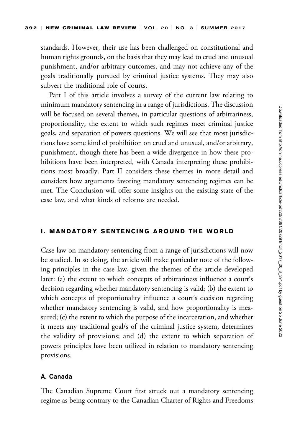standards. However, their use has been challenged on constitutional and human rights grounds, on the basis that they may lead to cruel and unusual punishment, and/or arbitrary outcomes, and may not achieve any of the goals traditionally pursued by criminal justice systems. They may also subvert the traditional role of courts.

Part I of this article involves a survey of the current law relating to minimum mandatory sentencing in a range of jurisdictions. The discussion will be focused on several themes, in particular questions of arbitrariness, proportionality, the extent to which such regimes meet criminal justice goals, and separation of powers questions. We will see that most jurisdictions have some kind of prohibition on cruel and unusual, and/or arbitrary, punishment, though there has been a wide divergence in how these prohibitions have been interpreted, with Canada interpreting these prohibitions most broadly. Part II considers these themes in more detail and considers how arguments favoring mandatory sentencing regimes can be met. The Conclusion will offer some insights on the existing state of the case law, and what kinds of reforms are needed.

## I. MANDATORY SENTENCING AROUND THE WORLD

Case law on mandatory sentencing from a range of jurisdictions will now be studied. In so doing, the article will make particular note of the following principles in the case law, given the themes of the article developed later: (a) the extent to which concepts of arbitrariness influence a court's decision regarding whether mandatory sentencing is valid; (b) the extent to which concepts of proportionality influence a court's decision regarding whether mandatory sentencing is valid, and how proportionality is measured; (c) the extent to which the purpose of the incarceration, and whether it meets any traditional goal/s of the criminal justice system, determines the validity of provisions; and (d) the extent to which separation of powers principles have been utilized in relation to mandatory sentencing provisions.

## A. Canada

The Canadian Supreme Court first struck out a mandatory sentencing regime as being contrary to the Canadian Charter of Rights and Freedoms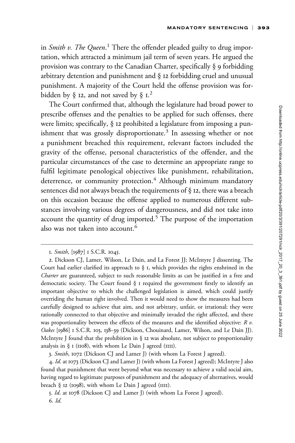in Smith v. The Queen.<sup>1</sup> There the offender pleaded guilty to drug importation, which attracted a minimum jail term of seven years. He argued the provision was contrary to the Canadian Charter, specifically § 9 forbidding arbitrary detention and punishment and § 12 forbidding cruel and unusual punishment. A majority of the Court held the offense provision was forbidden by § 12, and not saved by §  $1.2$ 

The Court confirmed that, although the legislature had broad power to prescribe offenses and the penalties to be applied for such offenses, there were limits; specifically, § 12 prohibited a legislature from imposing a punishment that was grossly disproportionate.<sup>3</sup> In assessing whether or not a punishment breached this requirement, relevant factors included the gravity of the offense, personal characteristics of the offender, and the particular circumstances of the case to determine an appropriate range to fulfil legitimate penological objectives like punishment, rehabilitation, deterrence, or community protection.<sup>4</sup> Although minimum mandatory sentences did not always breach the requirements of § 12, there was a breach on this occasion because the offense applied to numerous different substances involving various degrees of dangerousness, and did not take into account the quantity of drug imported.<sup>5</sup> The purpose of the importation also was not taken into account.<sup>6</sup>

<sup>1.</sup> Smith, [1987] 1 S.C.R. 1045.

<sup>2.</sup> Dickson CJ, Lamer, Wilson, Le Dain, and La Forest JJ; McIntyre J dissenting. The Court had earlier clarified its approach to  $\S$  I, which provides the rights enshrined in the Charter are guaranteed, subject to such reasonable limits as can be justified in a free and democratic society. The Court found § 1 required the government firstly to identify an important objective to which the challenged legislation is aimed, which could justify overriding the human right involved. Then it would need to show the measures had been carefully designed to achieve that aim, and not arbitrary, unfair, or irrational; they were rationally connected to that objective and minimally invaded the right affected, and there was proportionality between the effects of the measures and the identified objective:  $R$   $v$ . Oakes [1986] 1 S.C.R. 103, 138-39 (Dickson, Chouinard, Lamer, Wilson, and Le Dain JJ). McIntyre J found that the prohibition in § 12 was absolute, not subject to proportionality analysis in  $\S$  I (1108), with whom Le Dain J agreed (1111).

<sup>3.</sup> Smith, 1072 (Dickson CJ and Lamer J) (with whom La Forest J agreed).

<sup>4.</sup> Id. at 1073 (Dickson CJ and Lamer J) (with whom La Forest J agreed); McIntyre J also found that punishment that went beyond what was necessary to achieve a valid social aim, having regard to legitimate purposes of punishment and the adequacy of alternatives, would breach § 12 (1098), with whom Le Dain J agreed (IIII).

<sup>5.</sup> Id. at 1078 (Dickson CJ and Lamer J) (with whom La Forest J agreed). 6. Id.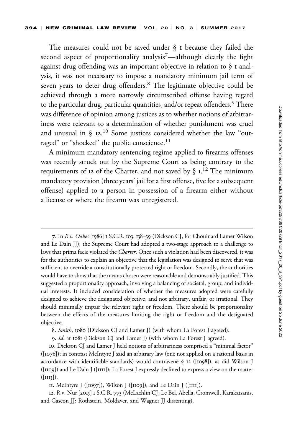The measures could not be saved under § 1 because they failed the second aspect of proportionality analysis<sup>7</sup>—although clearly the fight against drug offending was an important objective in relation to § 1 analysis, it was not necessary to impose a mandatory minimum jail term of seven years to deter drug offenders.<sup>8</sup> The legitimate objective could be achieved through a more narrowly circumscribed offense having regard to the particular drug, particular quantities, and/or repeat offenders.<sup>9</sup> There was difference of opinion among justices as to whether notions of arbitrariness were relevant to a determination of whether punishment was cruel and unusual in  $\S$  12.<sup>10</sup> Some justices considered whether the law "outraged" or "shocked" the public conscience. $^{11}$ 

A minimum mandatory sentencing regime applied to firearms offenses was recently struck out by the Supreme Court as being contrary to the requirements of 12 of the Charter, and not saved by  $\S$  1.<sup>12</sup> The minimum mandatory provision (three years' jail for a first offense, five for a subsequent offense) applied to a person in possession of a firearm either without a license or where the firearm was unregistered.

7. In R v. Oakes [1986] 1 S.C.R. 103, 138–39 (Dickson CJ, for Chouinard Lamer Wilson and Le Dain JJ), the Supreme Court had adopted a two-stage approach to a challenge to laws that prima facie violated the *Charter*. Once such a violation had been discovered, it was for the authorities to explain an objective that the legislation was designed to serve that was sufficient to override a constitutionally protected right or freedom. Secondly, the authorities would have to show that the means chosen were reasonable and demonstrably justified. This suggested a proportionality approach, involving a balancing of societal, group, and individual interests. It included consideration of whether the measures adopted were carefully designed to achieve the designated objective, and not arbitrary, unfair, or irrational. They should minimally impair the relevant right or freedom. There should be proportionality between the effects of the measures limiting the right or freedom and the designated objective.

10. Dickson CJ and Lamer J held notions of arbitrariness comprised a ''minimal factor'' ([1076]); in contrast McIntyre J said an arbitrary law (one not applied on a rational basis in accordance with identifiable standards) would contravene  $\S$  12 ([1098]), as did Wilson J ([1109]) and Le Dain J ([1111]); La Forest J expressly declined to express a view on the matter  $([III3]).$ 

12. R v. Nur [2015] 1 S.C.R. 773 (McLachlin CJ, Le Bel, Abella, Cromwell, Karakatsanis, and Gascon JJ; Rothstein, Moldaver, and Wagner JJ dissenting).

<sup>8.</sup> Smith, 1080 (Dickson CJ and Lamer J) (with whom La Forest J agreed).

<sup>9.</sup> Id. at 1081 (Dickson CJ and Lamer J) (with whom La Forest J agreed).

<sup>11.</sup> McIntyre J ([1097]), Wilson J ([1109]), and Le Dain J ([1111]).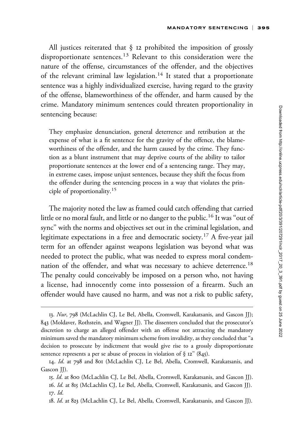All justices reiterated that § 12 prohibited the imposition of grossly disproportionate sentences.<sup>13</sup> Relevant to this consideration were the nature of the offense, circumstances of the offender, and the objectives of the relevant criminal law legislation.<sup>14</sup> It stated that a proportionate sentence was a highly individualized exercise, having regard to the gravity of the offense, blameworthiness of the offender, and harm caused by the crime. Mandatory minimum sentences could threaten proportionality in sentencing because:

They emphasize denunciation, general deterrence and retribution at the expense of what is a fit sentence for the gravity of the offence, the blameworthiness of the offender, and the harm caused by the crime. They function as a blunt instrument that may deprive courts of the ability to tailor proportionate sentences at the lower end of a sentencing range. They may, in extreme cases, impose unjust sentences, because they shift the focus from the offender during the sentencing process in a way that violates the principle of proportionality.<sup>15</sup>

The majority noted the law as framed could catch offending that carried little or no moral fault, and little or no danger to the public.<sup>16</sup> It was "out of sync'' with the norms and objectives set out in the criminal legislation, and legitimate expectations in a free and democratic society.<sup>17</sup> A five-year jail term for an offender against weapons legislation was beyond what was needed to protect the public, what was needed to express moral condemnation of the offender, and what was necessary to achieve deterrence.<sup>18</sup> The penalty could conceivably be imposed on a person who, not having a license, had innocently come into possession of a firearm. Such an offender would have caused no harm, and was not a risk to public safety,

<sup>13.</sup> Nur, 798 (McLachlin CJ, Le Bel, Abella, Cromwell, Karakatsanis, and Gascon JJ); 843 (Moldaver, Rothstein, and Wagner JJ). The dissenters concluded that the prosecutor's discretion to charge an alleged offender with an offense not attracting the mandatory minimum saved the mandatory minimum scheme from invalidity, as they concluded that ''a decision to prosecute by indictment that would give rise to a grossly disproportionate sentence represents a per se abuse of process in violation of  $\S$  12" (845).

<sup>14.</sup> Id. at 798 and 801 (McLachlin CJ, Le Bel, Abella, Cromwell, Karakatsanis, and Gascon JJ).

<sup>15.</sup> Id. at 800 (McLachlin CJ, Le Bel, Abella, Cromwell, Karakatsanis, and Gascon JJ). 16. Id. at 815 (McLachlin CJ, Le Bel, Abella, Cromwell, Karakatsanis, and Gascon JJ). 17. Id.

<sup>18.</sup> Id. at 823 (McLachlin CJ, Le Bel, Abella, Cromwell, Karakatsanis, and Gascon JJ).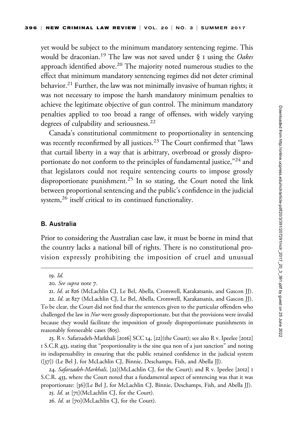yet would be subject to the minimum mandatory sentencing regime. This would be draconian.<sup>19</sup> The law was not saved under  $\S$  I using the Oakes approach identified above.<sup>20</sup> The majority noted numerous studies to the effect that minimum mandatory sentencing regimes did not deter criminal behavior.<sup>21</sup> Further, the law was not minimally invasive of human rights; it was not necessary to impose the harsh mandatory minimum penalties to achieve the legitimate objective of gun control. The minimum mandatory penalties applied to too broad a range of offenses, with widely varying degrees of culpability and seriousness.<sup>22</sup>

Canada's constitutional commitment to proportionality in sentencing was recently reconfirmed by all justices.<sup>23</sup> The Court confirmed that "laws that curtail liberty in a way that is arbitrary, overbroad or grossly disproportionate do not conform to the principles of fundamental justice,"<sup>24</sup> and that legislators could not require sentencing courts to impose grossly disproportionate punishment.<sup>25</sup> In so stating, the Court noted the link between proportional sentencing and the public's confidence in the judicial system, $^{26}$  itself critical to its continued functionality.

### B. Australia

Prior to considering the Australian case law, it must be borne in mind that the country lacks a national bill of rights. There is no constitutional provision expressly prohibiting the imposition of cruel and unusual

23. R v. Safarzadeh-Markhali [2016] SCC 14, [22](the Court); see also R v. Ipeelee [2012] 1 S.C.R 433, stating that ''proportionality is the sine qua non of a just sanction'' and noting its indispensability in ensuring that the public retained confidence in the judicial system ([37]) (Le Bel J, for McLachlin CJ, Binnie, Deschamps, Fish, and Abella JJ).

<sup>19.</sup> Id.

<sup>20.</sup> See supra note 7.

<sup>21.</sup> Id. at 826 (McLachlin CJ, Le Bel, Abella, Cromwell, Karakatsanis, and Gascon JJ).

<sup>22.</sup> Id. at 827 (McLachlin CJ, Le Bel, Abella, Cromwell, Karakatsanis, and Gascon JJ). To be clear, the Court did not find that the sentences given to the particular offenders who challenged the law in Nur were grossly disproportionate, but that the provisions were invalid because they would facilitate the imposition of grossly disproportionate punishments in reasonably foreseeable cases (805).

<sup>24.</sup> Safarzadeh-Markhali, [22](McLachlin CJ, for the Court); and R v. Ipeelee [2012] I S.C.R. 433, where the Court noted that a fundamental aspect of sentencing was that it was proportionate: [36](Le Bel J, for McLachlin CJ, Binnie, Deschamps, Fish, and Abella JJ). 25. Id. at [71](McLachlin CJ, for the Court).

<sup>26.</sup> Id. at [70](McLachlin CJ, for the Court).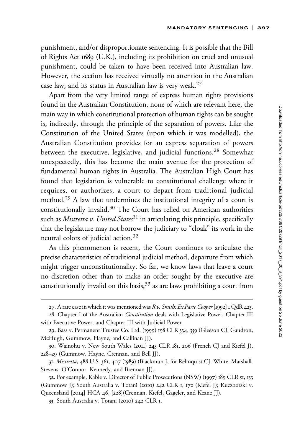punishment, and/or disproportionate sentencing. It is possible that the Bill of Rights Act 1689 (U.K.), including its prohibition on cruel and unusual punishment, could be taken to have been received into Australian law. However, the section has received virtually no attention in the Australian case law, and its status in Australian law is very weak.27

Apart from the very limited range of express human rights provisions found in the Australian Constitution, none of which are relevant here, the main way in which constitutional protection of human rights can be sought is, indirectly, through the principle of the separation of powers. Like the Constitution of the United States (upon which it was modelled), the Australian Constitution provides for an express separation of powers between the executive, legislative, and judicial functions.<sup>28</sup> Somewhat unexpectedly, this has become the main avenue for the protection of fundamental human rights in Australia. The Australian High Court has found that legislation is vulnerable to constitutional challenge where it requires, or authorizes, a court to depart from traditional judicial method.<sup>29</sup> A law that undermines the institutional integrity of a court is constitutionally invalid.30 The Court has relied on American authorities such as Mistretta v. United States<sup>31</sup> in articulating this principle, specifically that the legislature may not borrow the judiciary to ''cloak'' its work in the neutral colors of judicial action.<sup>32</sup>

As this phenomenon is recent, the Court continues to articulate the precise characteristics of traditional judicial method, departure from which might trigger unconstitutionality. So far, we know laws that leave a court no discretion other than to make an order sought by the executive are constitutionally invalid on this basis,  $33$  as are laws prohibiting a court from

<sup>27.</sup> A rare case in which it was mentioned was  $R v$ . Smith; Ex Parte Cooper [1992] 1 QdR 423.

<sup>28.</sup> Chapter I of the Australian *Constitution* deals with Legislative Power, Chapter III with Executive Power, and Chapter III with Judicial Power.

<sup>29.</sup> Bass v. Permanent Trustee Co. Ltd. (1999) 198 CLR 334, 359 (Gleeson CJ, Gaudron, McHugh, Gummow, Hayne, and Callinan JJ).

<sup>30.</sup> Wainohu v. New South Wales (2011) 243 CLR 181, 206 (French CJ and Kiefel J), 228–29 (Gummow, Hayne, Crennan, and Bell JJ).

<sup>31.</sup> Mistretta, 488 U.S. 361, 407 (1989) (Blackmun J, for Rehnquist CJ. White. Marshall. Stevens. O'Connor. Kennedy. and Brennan JJ).

<sup>32.</sup> For example, Kable v. Director of Public Prosecutions (NSW) (1997) 189 CLR 51, 133 (Gummow J); South Australia v. Totani (2010) 242 CLR 1, 172 (Kiefel J); Kuczborski v. Queensland [2014] HCA 46, [228](Crennan, Kiefel, Gageler, and Keane JJ).

<sup>33.</sup> South Australia v. Totani (2010) 242 CLR 1.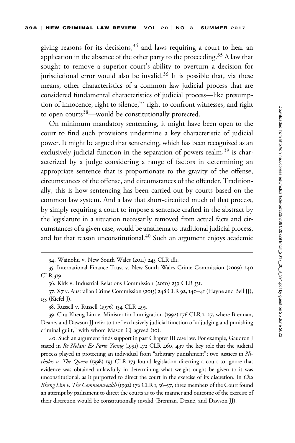giving reasons for its decisions,  $34$  and laws requiring a court to hear an application in the absence of the other party to the proceeding.<sup>35</sup> A law that sought to remove a superior court's ability to overturn a decision for jurisdictional error would also be invalid.<sup>36</sup> It is possible that, via these means, other characteristics of a common law judicial process that are considered fundamental characteristics of judicial process—like presumption of innocence, right to silence, $37$  right to confront witnesses, and right to open courts<sup>38</sup>—would be constitutionally protected.

On minimum mandatory sentencing, it might have been open to the court to find such provisions undermine a key characteristic of judicial power. It might be argued that sentencing, which has been recognized as an exclusively judicial function in the separation of powers realm,  $39$  is characterized by a judge considering a range of factors in determining an appropriate sentence that is proportionate to the gravity of the offense, circumstances of the offense, and circumstances of the offender. Traditionally, this is how sentencing has been carried out by courts based on the common law system. And a law that short-circuited much of that process, by simply requiring a court to impose a sentence crafted in the abstract by the legislature in a situation necessarily removed from actual facts and circumstances of a given case, would be anathema to traditional judicial process, and for that reason unconstitutional.<sup>40</sup> Such an argument enjoys academic

40. Such an argument finds support in past Chapter III case law. For example, Gaudron J stated in Re Nolan; Ex Parte Young (1991) 172 CLR 460, 497 the key role that the judicial process played in protecting an individual from "arbitrary punishment"; two justices in Ni*cholas v. The Queen* (1998) 193 CLR 173 found legislation directing a court to ignore that evidence was obtained unlawfully in determining what weight ought be given to it was unconstitutional, as it purported to direct the court in the exercise of its discretion. In Chu Kheng Lim v. The Commonwealth (1992) 176 CLR 1, 36-37, three members of the Court found an attempt by parliament to direct the courts as to the manner and outcome of the exercise of their discretion would be constitutionally invalid (Brennan, Deane, and Dawson JJ).

<sup>34.</sup> Wainohu v. New South Wales (2011) 243 CLR 181.

<sup>35.</sup> International Finance Trust v. New South Wales Crime Commission (2009) 240 CLR 319.

<sup>36.</sup> Kirk v. Industrial Relations Commission (2010) 239 CLR 531.

<sup>37.</sup> X7 v. Australian Crime Commission (2013) 248 CLR 92, 140–41 (Hayne and Bell JJ), 153 (Kiefel J).

<sup>38.</sup> Russell v. Russell (1976) 134 CLR 495.

<sup>39.</sup> Chu Kheng Lim v. Minister for Immigration (1992) 176 CLR 1, 27, where Brennan, Deane, and Dawson JJ refer to the ''exclusively judicial function of adjudging and punishing criminal guilt,'' with whom Mason CJ agreed (10).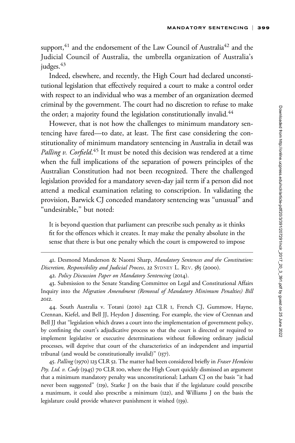support,<sup>41</sup> and the endorsement of the Law Council of Australia<sup>42</sup> and the Judicial Council of Australia, the umbrella organization of Australia's judges. $43$ 

Indeed, elsewhere, and recently, the High Court had declared unconstitutional legislation that effectively required a court to make a control order with respect to an individual who was a member of an organization deemed criminal by the government. The court had no discretion to refuse to make the order; a majority found the legislation constitutionally invalid.<sup>44</sup>

However, that is not how the challenges to minimum mandatory sentencing have fared—to date, at least. The first case considering the constitutionality of minimum mandatory sentencing in Australia in detail was Palling v. Corfield.<sup>45</sup> It must be noted this decision was rendered at a time when the full implications of the separation of powers principles of the Australian Constitution had not been recognized. There the challenged legislation provided for a mandatory seven-day jail term if a person did not attend a medical examination relating to conscription. In validating the provision, Barwick CJ conceded mandatory sentencing was ''unusual'' and "undesirable," but noted:

It is beyond question that parliament can prescribe such penalty as it thinks fit for the offences which it creates. It may make the penalty absolute in the sense that there is but one penalty which the court is empowered to impose

44. South Australia v. Totani (2010) 242 CLR 1, French CJ, Gummow, Hayne, Crennan, Kiefel, and Bell JJ, Heydon J dissenting. For example, the view of Crennan and Bell JJ that ''legislation which draws a court into the implementation of government policy, by confining the court's adjudicative process so that the court is directed or required to implement legislative or executive determinations without following ordinary judicial processes, will deprive that court of the characteristics of an independent and impartial tribunal (and would be constitutionally invalid)'' (157).

45. Palling (1970) 123 CLR 52. The matter had been considered briefly in Fraser Hemleins Pty. Ltd. v. Cody (1945) 70 CLR 100, where the High Court quickly dismissed an argument that a minimum mandatory penalty was unconstitutional; Latham CJ on the basis ''it had never been suggested'' (119), Starke J on the basis that if the legislature could prescribe a maximum, it could also prescribe a minimum (122), and Williams J on the basis the legislature could provide whatever punishment it wished (139).

<sup>41.</sup> Desmond Manderson & Naomi Sharp, Mandatory Sentences and the Constitution: Discretion, Responsibility and Judicial Process, 22 SYDNEY L. REV. 585 (2000).

<sup>42.</sup> Policy Discussion Paper on Mandatory Sentencing (2014).

<sup>43.</sup> Submission to the Senate Standing Committee on Legal and Constitutional Affairs Inquiry into the Migration Amendment (Removal of Mandatory Minimum Penalties) Bill 2012.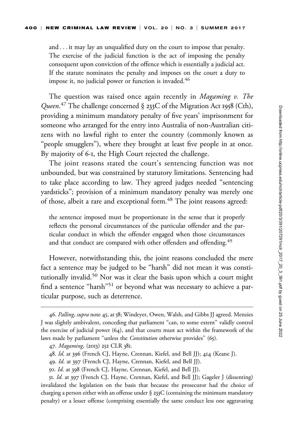and ... it may lay an unqualified duty on the court to impose that penalty. The exercise of the judicial function is the act of imposing the penalty consequent upon conviction of the offence which is essentially a judicial act. If the statute nominates the penalty and imposes on the court a duty to impose it, no judicial power or function is invaded. $46$ 

The question was raised once again recently in Magaming v. The Queen.<sup>47</sup> The challenge concerned § 233C of the Migration Act 1958 (Cth), providing a minimum mandatory penalty of five years' imprisonment for someone who arranged for the entry into Australia of non-Australian citizens with no lawful right to enter the country (commonly known as "people smugglers"), where they brought at least five people in at once. By majority of 6-1, the High Court rejected the challenge.

The joint reasons stated the court's sentencing function was not unbounded, but was constrained by statutory limitations. Sentencing had to take place according to law. They agreed judges needed ''sentencing yardsticks''; provision of a minimum mandatory penalty was merely one of those, albeit a rare and exceptional form.<sup>48</sup> The joint reasons agreed:

the sentence imposed must be proportionate in the sense that it properly reflects the personal circumstances of the particular offender and the particular conduct in which the offender engaged when those circumstances and that conduct are compared with other offenders and offending.<sup>49</sup>

However, notwithstanding this, the joint reasons concluded the mere fact a sentence may be judged to be ''harsh'' did not mean it was constitutionally invalid.50 Nor was it clear the basis upon which a court might find a sentence "harsh"<sup>51</sup> or beyond what was necessary to achieve a particular purpose, such as deterrence.

<sup>46.</sup> Palling, supra note 45, at 58; Windeyer, Owen, Walsh, and Gibbs JJ agreed. Menzies J was slightly ambivalent, conceding that parliament ''can, to some extent'' validly control the exercise of judicial power  $(64)$ , and that courts must act within the framework of the laws made by parliament "unless the *Constitution* otherwise provides" (65).

<sup>47.</sup> Magaming, (2013) 252 CLR 381.

<sup>48.</sup> Id. at 396 (French CJ, Hayne, Crennan, Kiefel, and Bell JJ); 414 (Keane J).

<sup>49.</sup> Id. at 397 (French CJ, Hayne, Crennan, Kiefel, and Bell JJ).

<sup>50.</sup> Id. at 398 (French CJ, Hayne, Crennan, Kiefel, and Bell JJ).

<sup>51.</sup> Id. at 397 (French CJ, Hayne, Crennan, Kiefel, and Bell JJ); Gageler J (dissenting) invalidated the legislation on the basis that because the prosecutor had the choice of charging a person either with an offense under § 233C (containing the minimum mandatory penalty) or a lesser offense (comprising essentially the same conduct less one aggravating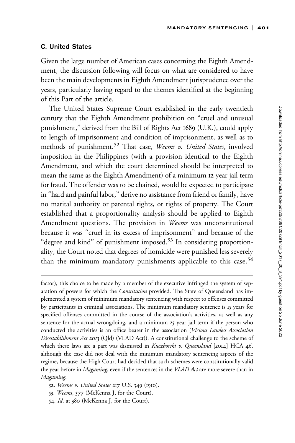## C. United States

Given the large number of American cases concerning the Eighth Amendment, the discussion following will focus on what are considered to have been the main developments in Eighth Amendment jurisprudence over the years, particularly having regard to the themes identified at the beginning of this Part of the article.

The United States Supreme Court established in the early twentieth century that the Eighth Amendment prohibition on ''cruel and unusual punishment,'' derived from the Bill of Rights Act 1689 (U.K.), could apply to length of imprisonment and condition of imprisonment, as well as to methods of punishment.<sup>52</sup> That case, Weems v. United States, involved imposition in the Philippines (with a provision identical to the Eighth Amendment, and which the court determined should be interpreted to mean the same as the Eighth Amendment) of a minimum 12 year jail term for fraud. The offender was to be chained, would be expected to participate in ''hard and painful labor,'' derive no assistance from friend or family, have no marital authority or parental rights, or rights of property. The Court established that a proportionality analysis should be applied to Eighth Amendment questions. The provision in Weems was unconstitutional because it was ''cruel in its excess of imprisonment'' and because of the "degree and kind" of punishment imposed.<sup>53</sup> In considering proportionality, the Court noted that degrees of homicide were punished less severely than the minimum mandatory punishments applicable to this case.<sup>54</sup>

factor), this choice to be made by a member of the executive infringed the system of separation of powers for which the *Constitution* provided. The State of Queensland has implemented a system of minimum mandatory sentencing with respect to offenses committed by participants in criminal associations. The minimum mandatory sentence is 15 years for specified offenses committed in the course of the association's activities, as well as any sentence for the actual wrongdoing, and a minimum 25 year jail term if the person who conducted the activities is an office bearer in the association (Vicious Lawless Association Disestablishment Act 2013 (Qld) (VLAD Act)). A constitutional challenge to the scheme of which these laws are a part was dismissed in Kuczborski v. Queensland [2014] HCA 46, although the case did not deal with the minimum mandatory sentencing aspects of the regime, because the High Court had decided that such schemes were constitutionally valid the year before in Magaming, even if the sentences in the VLAD Act are more severe than in Magaming.

52. Weems v. United States 217 U.S. 349 (1910).

53. Weems, 377 (McKenna J, for the Court).

54. Id. at 380 (McKenna J, for the Court).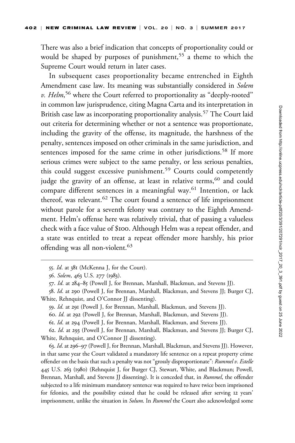There was also a brief indication that concepts of proportionality could or would be shaped by purposes of punishment,<sup>55</sup> a theme to which the Supreme Court would return in later cases.

In subsequent cases proportionality became entrenched in Eighth Amendment case law. Its meaning was substantially considered in Solem v. Helm,<sup>56</sup> where the Court referred to proportionality as "deeply-rooted" in common law jurisprudence, citing Magna Carta and its interpretation in British case law as incorporating proportionality analysis.<sup>57</sup> The Court laid out criteria for determining whether or not a sentence was proportionate, including the gravity of the offense, its magnitude, the harshness of the penalty, sentences imposed on other criminals in the same jurisdiction, and sentences imposed for the same crime in other jurisdictions.<sup>58</sup> If more serious crimes were subject to the same penalty, or less serious penalties, this could suggest excessive punishment.<sup>59</sup> Courts could competently judge the gravity of an offense, at least in relative terms,<sup>60</sup> and could compare different sentences in a meaningful way.<sup>61</sup> Intention, or lack thereof, was relevant.<sup>62</sup> The court found a sentence of life imprisonment without parole for a seventh felony was contrary to the Eighth Amendment. Helm's offense here was relatively trivial, that of passing a valueless check with a face value of \$100. Although Helm was a repeat offender, and a state was entitled to treat a repeat offender more harshly, his prior offending was all non-violent.<sup>63</sup>

63. Id. at 296–97 (Powell J, for Brennan, Marshall, Blackmun, and Stevens JJ). However, in that same year the Court validated a mandatory life sentence on a repeat property crime offender on the basis that such a penalty was not "grossly disproportionate": Rummel v. Estelle 445 U.S. 263 (1980) (Rehnquist J, for Burger CJ, Stewart, White, and Blackmun; Powell, Brennan, Marshall, and Stevens JJ dissenting). It is conceded that, in Rummel, the offender subjected to a life minimum mandatory sentence was required to have twice been imprisoned for felonies, and the possibility existed that he could be released after serving 12 years' imprisonment, unlike the situation in *Solum*. In *Rummel* the Court also acknowledged some

<sup>55.</sup> Id. at 381 (McKenna J, for the Court).

<sup>56.</sup> Solem, 463 U.S. 277 (1983).

<sup>57.</sup> Id. at 284–85 (Powell J, for Brennan, Marshall, Blackmun, and Stevens JJ).

<sup>58.</sup> Id. at 290 (Powell J, for Brennan, Marshall, Blackmun, and Stevens JJ; Burger CJ, White, Rehnquist, and O'Connor JJ dissenting).

<sup>59.</sup> Id. at 291 (Powell J, for Brennan, Marshall, Blackmun, and Stevens JJ).

<sup>60.</sup> Id. at 292 (Powell J, for Brennan, Marshall, Blackmun, and Stevens JJ).

<sup>61.</sup> Id. at 294 (Powell J, for Brennan, Marshall, Blackmun, and Stevens JJ).

<sup>62.</sup> Id. at 293 (Powell J, for Brennan, Marshall, Blackmun, and Stevens JJ; Burger CJ, White, Rehnquist, and O'Connor JJ dissenting).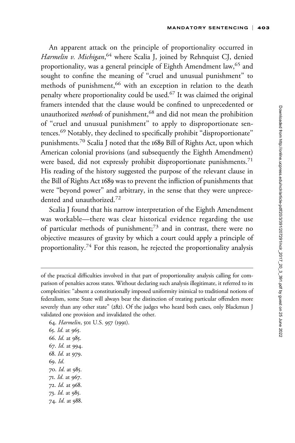An apparent attack on the principle of proportionality occurred in Harmelin v. Michigan, 64 where Scalia J, joined by Rehnquist CJ, denied proportionality, was a general principle of Eighth Amendment law,<sup>65</sup> and sought to confine the meaning of ''cruel and unusual punishment'' to methods of punishment,<sup>66</sup> with an exception in relation to the death penalty where proportionality could be used.<sup>67</sup> It was claimed the original framers intended that the clause would be confined to unprecedented or unauthorized methods of punishment,<sup>68</sup> and did not mean the prohibition of ''cruel and unusual punishment'' to apply to disproportionate sentences.<sup>69</sup> Notably, they declined to specifically prohibit ''disproportionate'' punishments.<sup>70</sup> Scalia J noted that the 1689 Bill of Rights Act, upon which American colonial provisions (and subsequently the Eighth Amendment) were based, did not expressly prohibit disproportionate punishments.<sup>71</sup> His reading of the history suggested the purpose of the relevant clause in the Bill of Rights Act 1689 was to prevent the infliction of punishments that were "beyond power" and arbitrary, in the sense that they were unprecedented and unauthorized.<sup>72</sup>

Scalia J found that his narrow interpretation of the Eighth Amendment was workable—there was clear historical evidence regarding the use of particular methods of punishment;<sup>73</sup> and in contrast, there were no objective measures of gravity by which a court could apply a principle of proportionality.<sup>74</sup> For this reason, he rejected the proportionality analysis

64. Harmelin, 501 U.S. 957 (1991). 65. Id. at 965. 66. Id. at 985. 67. Id. at 994. 68. Id. at 979. 69. Id. 70. Id. at 985. 71. Id. at 967. 72. Id. at 968. 73. Id. at 985. 74. Id. at 988.

of the practical difficulties involved in that part of proportionality analysis calling for comparison of penalties across states. Without declaring such analysis illegitimate, it referred to its complexities: ''absent a constitutionally imposed uniformity inimical to traditional notions of federalism, some State will always bear the distinction of treating particular offenders more severely than any other state'' (282). Of the judges who heard both cases, only Blackmun J validated one provision and invalidated the other.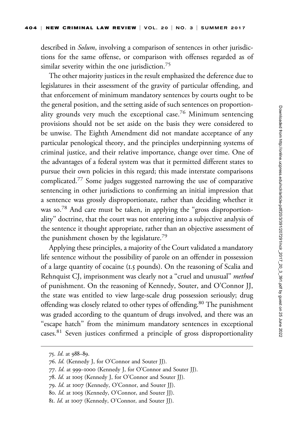described in Solum, involving a comparison of sentences in other jurisdictions for the same offense, or comparison with offenses regarded as of similar severity within the one jurisdiction.<sup>75</sup>

The other majority justices in the result emphasized the deference due to legislatures in their assessment of the gravity of particular offending, and that enforcement of minimum mandatory sentences by courts ought to be the general position, and the setting aside of such sentences on proportionality grounds very much the exceptional case.<sup>76</sup> Minimum sentencing provisions should not be set aside on the basis they were considered to be unwise. The Eighth Amendment did not mandate acceptance of any particular penological theory, and the principles underpinning systems of criminal justice, and their relative importance, change over time. One of the advantages of a federal system was that it permitted different states to pursue their own policies in this regard; this made interstate comparisons complicated.<sup>77</sup> Some judges suggested narrowing the use of comparative sentencing in other jurisdictions to confirming an initial impression that a sentence was grossly disproportionate, rather than deciding whether it was so.<sup>78</sup> And care must be taken, in applying the "gross disproportionality'' doctrine, that the court was not entering into a subjective analysis of the sentence it thought appropriate, rather than an objective assessment of the punishment chosen by the legislature.<sup>79</sup>

Applying these principles, a majority of the Court validated a mandatory life sentence without the possibility of parole on an offender in possession of a large quantity of cocaine (1.5 pounds). On the reasoning of Scalia and Rehnquist CJ, imprisonment was clearly not a "cruel and unusual" method of punishment. On the reasoning of Kennedy, Souter, and O'Connor JJ, the state was entitled to view large-scale drug possession seriously; drug offending was closely related to other types of offending.<sup>80</sup> The punishment was graded according to the quantum of drugs involved, and there was an "escape hatch" from the minimum mandatory sentences in exceptional cases.<sup>81</sup> Seven justices confirmed a principle of gross disproportionality

<sup>75.</sup> Id. at 988–89.

<sup>76.</sup> Id. (Kennedy J, for O'Connor and Souter JJ).

<sup>77.</sup> Id. at 999–1000 (Kennedy J, for O'Connor and Souter JJ).

<sup>78.</sup> Id. at 1005 (Kennedy J, for O'Connor and Souter JJ).

<sup>79.</sup> Id. at 1007 (Kennedy, O'Connor, and Souter JJ).

<sup>80.</sup> Id. at 1003 (Kennedy, O'Connor, and Souter JJ).

<sup>81.</sup> Id. at 1007 (Kennedy, O'Connor, and Souter JJ).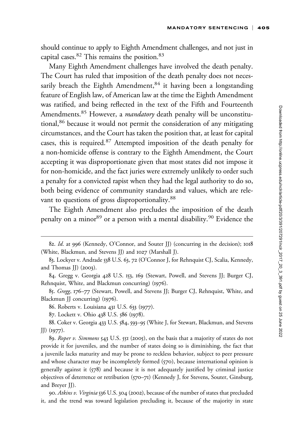should continue to apply to Eighth Amendment challenges, and not just in capital cases.<sup>82</sup> This remains the position.<sup>83</sup>

Many Eighth Amendment challenges have involved the death penalty. The Court has ruled that imposition of the death penalty does not necessarily breach the Eighth Amendment,  $84$  it having been a longstanding feature of English law, of American law at the time the Eighth Amendment was ratified, and being reflected in the text of the Fifth and Fourteenth Amendments.<sup>85</sup> However, a *mandatory* death penalty will be unconstitutional,<sup>86</sup> because it would not permit the consideration of any mitigating circumstances, and the Court has taken the position that, at least for capital cases, this is required.<sup>87</sup> Attempted imposition of the death penalty for a non-homicide offense is contrary to the Eighth Amendment, the Court accepting it was disproportionate given that most states did not impose it for non-homicide, and the fact juries were extremely unlikely to order such a penalty for a convicted rapist when they had the legal authority to do so, both being evidence of community standards and values, which are relevant to questions of gross disproportionality.<sup>88</sup>

The Eighth Amendment also precludes the imposition of the death penalty on a minor<sup>89</sup> or a person with a mental disability.<sup>90</sup> Evidence the

<sup>82.</sup> Id. at 996 (Kennedy, O'Connor, and Souter JJ) (concurring in the decision); 1018 (White, Blackmun, and Stevens JJ) and 1027 (Marshall J).

<sup>83.</sup> Lockyer v. Andrade 538 U.S. 63, 72 (O'Connor J, for Rehnquist CJ, Scalia, Kennedy, and Thomas JJ) (2003).

<sup>84.</sup> Gregg v. Georgia 428 U.S. 153, 169 (Stewart, Powell, and Stevens JJ; Burger CJ, Rehnquist, White, and Blackmun concurring) (1976).

<sup>85.</sup> Gregg, 176–77 (Stewart, Powell, and Stevens JJ; Burger CJ, Rehnquist, White, and Blackmun JJ concurring) (1976).

<sup>86.</sup> Roberts v. Louisiana 431 U.S. 633 (1977).

<sup>87.</sup> Lockett v. Ohio 438 U.S. 586 (1978).

<sup>88.</sup> Coker v. Georgia 433 U.S. 584, 593–95 (White J, for Stewart, Blackmun, and Stevens JJ) (1977).

<sup>89.</sup> Roper v. Simmons 543 U.S. 551 (2005), on the basis that a majority of states do not provide it for juveniles, and the number of states doing so is diminishing, the fact that a juvenile lacks maturity and may be prone to reckless behavior, subject to peer pressure and whose character may be incompletely formed (570), because international opinion is generally against it (578) and because it is not adequately justified by criminal justice objectives of deterrence or retribution (570–71) (Kennedy J, for Stevens, Souter, Ginsburg, and Breyer JJ).

<sup>90.</sup> Atkins v. Virginia 536 U.S. 304 (2002), because of the number of states that precluded it, and the trend was toward legislation precluding it, because of the majority in state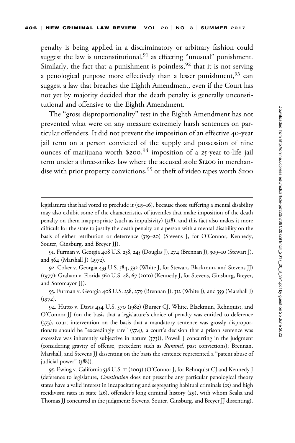penalty is being applied in a discriminatory or arbitrary fashion could suggest the law is unconstitutional,  $91$  as effecting "unusual" punishment. Similarly, the fact that a punishment is pointless,  $92$  that it is not serving a penological purpose more effectively than a lesser punishment,  $93$  can suggest a law that breaches the Eighth Amendment, even if the Court has not yet by majority decided that the death penalty is generally unconstitutional and offensive to the Eighth Amendment.

The "gross disproportionality" test in the Eighth Amendment has not prevented what were on any measure extremely harsh sentences on particular offenders. It did not prevent the imposition of an effective 40-year jail term on a person convicted of the supply and possession of nine ounces of marijuana worth \$200,<sup>94</sup> imposition of a 25-year-to-life jail term under a three-strikes law where the accused stole \$1200 in merchandise with prior property convictions,<sup>95</sup> or theft of video tapes worth \$200

92. Coker v. Georgia 433 U.S. 584, 592 (White J, for Stewart, Blackmun, and Stevens JJ) (1977); Graham v. Florida 560 U.S. 48, 67 (2010) (Kennedy J, for Stevens, Ginsburg, Breyer, and Sotomayor JJ).

93. Furman v. Georgia 408 U.S. 238, 279 (Brennan J), 312 (White J), and 359 (Marshall J)  $(1972).$ 

94. Hutto v. Davis 454 U.S. 370 (1982) (Burger CJ, White, Blackmun, Rehnquist, and O'Connor JJ (on the basis that a legislature's choice of penalty was entitled to deference (373), court intervention on the basis that a mandatory sentence was grossly disproportionate should be "exceedingly rare" (374), a court's decision that a prison sentence was excessive was inherently subjective in nature (373)), Powell J concurring in the judgment (considering gravity of offense, precedent such as Rummel, past convictions); Brennan, Marshall, and Stevens JJ dissenting on the basis the sentence represented a ''patent abuse of judicial power'' (388)).

95. Ewing v. California 538 U.S. 11 (2003) (O'Connor J, for Rehnquist CJ and Kennedy J (deference to legislature, Constitution does not prescribe any particular penological theory states have a valid interest in incapacitating and segregating habitual criminals  $(25)$  and high recidivism rates in state (26), offender's long criminal history (29), with whom Scalia and Thomas JJ concurred in the judgment; Stevens, Souter, Ginsburg, and Breyer JJ dissenting).

legislatures that had voted to preclude it (315–16), because those suffering a mental disability may also exhibit some of the characteristics of juveniles that make imposition of the death penalty on them inappropriate (such as impulsivity) (318), and this fact also makes it more difficult for the state to justify the death penalty on a person with a mental disability on the basis of either retribution or deterrence (319–20) (Stevens J, for O'Connor, Kennedy, Souter, Ginsburg, and Breyer JJ).

<sup>91.</sup> Furman v. Georgia 408 U.S. 238, 245 (Douglas J), 274 (Brennan J), 309–10 (Stewart J), and 364 (Marshall J) (1972).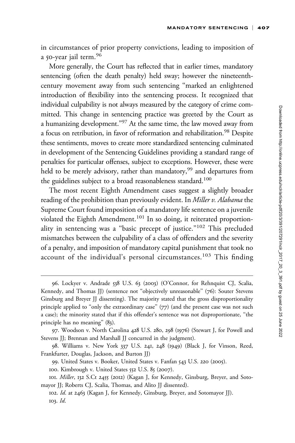in circumstances of prior property convictions, leading to imposition of a 50-year jail term.<sup>96</sup>

More generally, the Court has reflected that in earlier times, mandatory sentencing (often the death penalty) held sway; however the nineteenthcentury movement away from such sentencing ''marked an enlightened introduction of flexibility into the sentencing process. It recognized that individual culpability is not always measured by the category of crime committed. This change in sentencing practice was greeted by the Court as a humanizing development.''97 At the same time, the law moved away from a focus on retribution, in favor of reformation and rehabilitation.<sup>98</sup> Despite these sentiments, moves to create more standardized sentencing culminated in development of the Sentencing Guidelines providing a standard range of penalties for particular offenses, subject to exceptions. However, these were held to be merely advisory, rather than mandatory,<sup>99</sup> and departures from the guidelines subject to a broad reasonableness standard.<sup>100</sup>

The most recent Eighth Amendment cases suggest a slightly broader reading of the prohibition than previously evident. In Miller v. Alabama the Supreme Court found imposition of a mandatory life sentence on a juvenile violated the Eighth Amendment.<sup>101</sup> In so doing, it reiterated proportionality in sentencing was a "basic precept of justice."<sup>102</sup> This precluded mismatches between the culpability of a class of offenders and the severity of a penalty, and imposition of mandatory capital punishment that took no account of the individual's personal circumstances.<sup>103</sup> This finding

<sup>96.</sup> Lockyer v. Andrade 538 U.S. 63 (2003) (O'Connor, for Rehnquist CJ, Scalia, Kennedy, and Thomas JJ) (sentence not ''objectively unreasonable'' (76): Souter Stevens Ginsburg and Breyer JJ dissenting). The majority stated that the gross disproportionality principle applied to "only the extraordinary case" (77) (and the present case was not such a case); the minority stated that if this offender's sentence was not disproportionate, ''the principle has no meaning" (83).

<sup>97.</sup> Woodson v. North Carolina 428 U.S. 280, 298 (1976) (Stewart J, for Powell and Stevens JJ; Brennan and Marshall JJ concurred in the judgment).

<sup>98.</sup> Williams v. New York 337 U.S. 241, 248 (1949) (Black J, for Vinson, Reed, Frankfurter, Douglas, Jackson, and Burton JJ)

<sup>99.</sup> United States v. Booker, United States v. Fanfan 543 U.S. 220 (2005).

<sup>100.</sup> Kimbrough v. United States 552 U.S. 85 (2007).

<sup>101.</sup> Miller, 132 S.Ct 2455 (2012) (Kagan J, for Kennedy, Ginsburg, Breyer, and Sotomayor JJ; Roberts CJ, Scalia, Thomas, and Alito JJ dissented).

<sup>102.</sup> Id. at 2463 (Kagan J, for Kennedy, Ginsburg, Breyer, and Sotomayor JJ). 103. Id.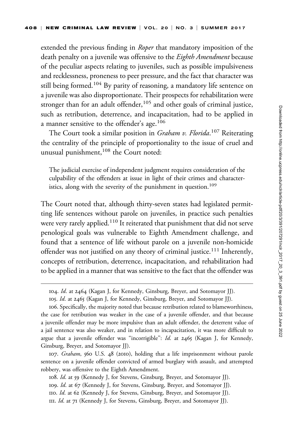extended the previous finding in *Roper* that mandatory imposition of the death penalty on a juvenile was offensive to the *Eighth Amendment* because of the peculiar aspects relating to juveniles, such as possible impulsiveness and recklessness, proneness to peer pressure, and the fact that character was still being formed.<sup>104</sup> By parity of reasoning, a mandatory life sentence on a juvenile was also disproportionate. Their prospects for rehabilitation were stronger than for an adult offender,  $105$  and other goals of criminal justice, such as retribution, deterrence, and incapacitation, had to be applied in a manner sensitive to the offender's age.<sup>106</sup>

The Court took a similar position in *Graham v. Florida*.<sup>107</sup> Reiterating the centrality of the principle of proportionality to the issue of cruel and unusual punishment,<sup>108</sup> the Court noted:

The judicial exercise of independent judgment requires consideration of the culpability of the offenders at issue in light of their crimes and characteristics, along with the severity of the punishment in question.<sup>109</sup>

The Court noted that, although thirty-seven states had legislated permitting life sentences without parole on juveniles, in practice such penalties were very rarely applied.<sup>110</sup> It reiterated that punishment that did not serve penological goals was vulnerable to Eighth Amendment challenge, and found that a sentence of life without parole on a juvenile non-homicide offender was not justified on any theory of criminal justice.<sup>111</sup> Inherently, concepts of retribution, deterrence, incapacitation, and rehabilitation had to be applied in a manner that was sensitive to the fact that the offender was

107. Graham, 560 U.S. 48 (2010), holding that a life imprisonment without parole sentence on a juvenile offender convicted of armed burglary with assault, and attempted robbery, was offensive to the Eighth Amendment.

108. Id. at 59 (Kennedy J, for Stevens, Ginsburg, Breyer, and Sotomayor JJ). 109. Id. at 67 (Kennedy J, for Stevens, Ginsburg, Breyer, and Sotomayor JJ). 110. Id. at 62 (Kennedy J, for Stevens, Ginsburg, Breyer, and Sotomayor JJ). 111. Id. at 71 (Kennedy J, for Stevens, Ginsburg, Breyer, and Sotomayor JJ).

<sup>104.</sup> Id. at 2464 (Kagan J, for Kennedy, Ginsburg, Breyer, and Sotomayor JJ).

<sup>105.</sup> Id. at 2465 (Kagan J, for Kennedy, Ginsburg, Breyer, and Sotomayor JJ).

<sup>106.</sup> Specifically, the majority noted that because retribution related to blameworthiness, the case for retribution was weaker in the case of a juvenile offender, and that because a juvenile offender may be more impulsive than an adult offender, the deterrent value of a jail sentence was also weaker, and in relation to incapacitation, it was more difficult to argue that a juvenile offender was "incorrigible":  $Id$ . at  $2465$  (Kagan J, for Kennedy, Ginsburg, Breyer, and Sotomayor JJ).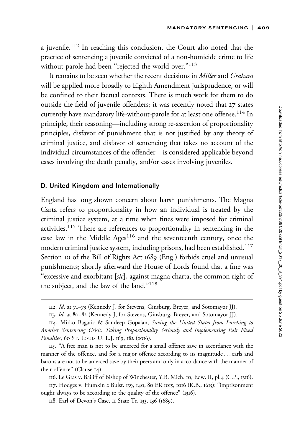a juvenile.<sup>112</sup> In reaching this conclusion, the Court also noted that the practice of sentencing a juvenile convicted of a non-homicide crime to life without parole had been "rejected the world over."<sup>113</sup>

It remains to be seen whether the recent decisions in Miller and Graham will be applied more broadly to Eighth Amendment jurisprudence, or will be confined to their factual contexts. There is much work for them to do outside the field of juvenile offenders; it was recently noted that 27 states currently have mandatory life-without-parole for at least one offense.<sup>114</sup> In principle, their reasoning—including strong re-assertion of proportionality principles, disfavor of punishment that is not justified by any theory of criminal justice, and disfavor of sentencing that takes no account of the individual circumstances of the offender—is considered applicable beyond cases involving the death penalty, and/or cases involving juveniles.

## D. United Kingdom and Internationally

England has long shown concern about harsh punishments. The Magna Carta refers to proportionality in how an individual is treated by the criminal justice system, at a time when fines were imposed for criminal activities.<sup>115</sup> There are references to proportionality in sentencing in the case law in the Middle Ages<sup>116</sup> and the seventeenth century, once the modern criminal justice system, including prisons, had been established.<sup>117</sup> Section 10 of the Bill of Rights Act 1689 (Eng.) forbids cruel and unusual punishments; shortly afterward the House of Lords found that a fine was "excessive and exorbitant [sic], against magna charta, the common right of the subject, and the law of the land.''118

<sup>112.</sup> Id. at 71–73 (Kennedy J, for Stevens, Ginsburg, Breyer, and Sotomayor JJ).

<sup>113.</sup> Id. at 80–82 (Kennedy J, for Stevens, Ginsburg, Breyer, and Sotomayor JJ).

<sup>114.</sup> Mirko Bagaric & Sandeep Gopalan, Saving the United States from Lurching to Another Sentencing Crisis: Taking Proportionality Seriously and Implementing Fair Fixed Penalties, 60 ST. LOUIS U. L.J. 169, 182 (2016).

<sup>115.</sup> ''A free man is not to be amerced for a small offence save in accordance with the manner of the offence, and for a major offence according to its magnitude...earls and barons are not to be amerced save by their peers and only in accordance with the manner of their offence'' (Clause 14).

<sup>116.</sup> Le Gras v. Bailiff of Bishop of Winchester, Y.B. Mich. 10, Edw. II, pl.4 (C.P., 1316). 117. Hodges v. Humkin 2 Bulst. 139, 140, 80 ER 1015, 1016 (K.B., 1615): ''imprisonment ought always to be according to the quality of the offence'' (1316).

<sup>118.</sup> Earl of Devon's Case, 11 State Tr. 133, 136 (1689).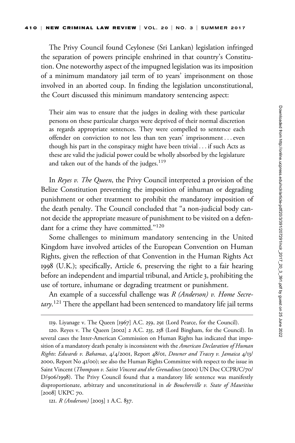The Privy Council found Ceylonese (Sri Lankan) legislation infringed the separation of powers principle enshrined in that country's Constitution. One noteworthy aspect of the impugned legislation was its imposition of a minimum mandatory jail term of 10 years' imprisonment on those involved in an aborted coup. In finding the legislation unconstitutional, the Court discussed this minimum mandatory sentencing aspect:

Their aim was to ensure that the judges in dealing with these particular persons on these particular charges were deprived of their normal discretion as regards appropriate sentences. They were compelled to sentence each offender on conviction to not less than ten years' imprisonment ...even though his part in the conspiracy might have been trivial ... if such Acts as these are valid the judicial power could be wholly absorbed by the legislature and taken out of the hands of the judges.<sup>119</sup>

In *Reyes v. The Queen*, the Privy Council interpreted a provision of the Belize Constitution preventing the imposition of inhuman or degrading punishment or other treatment to prohibit the mandatory imposition of the death penalty. The Council concluded that ''a non-judicial body cannot decide the appropriate measure of punishment to be visited on a defendant for a crime they have committed."<sup>120</sup>

Some challenges to minimum mandatory sentencing in the United Kingdom have involved articles of the European Convention on Human Rights, given the reflection of that Convention in the Human Rights Act 1998 (U.K.); specifically, Article 6, preserving the right to a fair hearing before an independent and impartial tribunal, and Article 3, prohibiting the use of torture, inhumane or degrading treatment or punishment.

An example of a successful challenge was  $R$  (Anderson) v. Home Secretary.<sup>121</sup> There the appellant had been sentenced to mandatory life jail terms

121. R (Anderson) [2003] I A.C. 837.

<sup>119.</sup> Liyanage v. The Queen [1967] A.C. 259, 291 (Lord Pearce, for the Council).

<sup>120.</sup> Reyes v. The Queen [2002] 2 A.C. 235, 258 (Lord Bingham, for the Council). In several cases the Inter-American Commission on Human Rights has indicated that imposition of a mandatory death penalty is inconsistent with the American Declaration of Human Rights: Edwards v. Bahamas, 4/4/2001, Report 48/01, Downer and Tracey v. Jamaica 4/13/ 2000, Report No 41/00); see also the Human Rights Committee with respect to the issue in Saint Vincent (Thompson v. Saint Vincent and the Grenadines (2000) UN Doc CCPR/C/70/ D/906/1998). The Privy Council found that a mandatory life sentence was manifestly disproportionate, arbitrary and unconstitutional in de Boucherville v. State of Mauritius [2008] UKPC 70.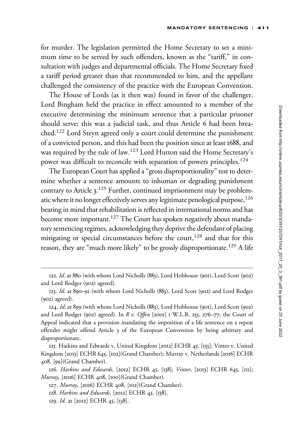for murder. The legislation permitted the Home Secretary to set a minimum time to be served by such offenders, known as the "tariff," in consultation with judges and departmental officials. The Home Secretary fixed a tariff period greater than that recommended to him, and the appellant challenged the consistency of the practice with the European Convention.

The House of Lords (as it then was) found in favor of the challenger. Lord Bingham held the practice in effect amounted to a member of the executive determining the minimum sentence that a particular prisoner should serve; this was a judicial task, and thus Article 6 had been breached.<sup>122</sup> Lord Steyn agreed only a court could determine the punishment of a convicted person, and this had been the position since at least 1688, and was required by the rule of law.<sup>123</sup> Lord Hutton said the Home Secretary's power was difficult to reconcile with separation of powers principles.<sup>124</sup>

The European Court has applied a "gross disproportionality" test to determine whether a sentence amounts to inhuman or degrading punishment contrary to Article 3.<sup>125</sup> Further, continued imprisonment may be problematic where it no longer effectively serves any legitimate penological purpose,<sup>126</sup> bearing in mind that rehabilitation is reflected in international norms and has become more important.<sup>127</sup> The Court has spoken negatively about mandatory sentencing regimes, acknowledging they deprive the defendant of placing mitigating or special circumstances before the court, $128$  and that for this reason, they are "much more likely" to be grossly disproportionate.<sup>129</sup> A life

<sup>122.</sup> Id. at 880 (with whom Lord Nicholls (883), Lord Hobhouse (901), Lord Scott (902) and Lord Rodger (902) agreed).

<sup>123.</sup> Id. at 890–91 (with whom Lord Nicholls (883), Lord Scott (902) and Lord Rodger (902) agreed).

<sup>124.</sup> Id. at 899 (with whom Lord Nicholls (883), Lord Hobhouse (901), Lord Scott (902) and Lord Rodger (902) agreed). In R v. Offen [2001] 1 W.L.R. 253, 276–77, the Court of Appeal indicated that a provision mandating the imposition of a life sentence on a repeat offender might offend Article 3 of the European Convention by being arbitrary and disproportionate.

<sup>125.</sup> Harkins and Edwards v. United Kingdom [2012] ECHR 45, [133]; Vinter v. United Kingdom [2013] ECHR 645, [102](Grand Chamber); Murray v. Netherlands [2016] ECHR 408, [99](Grand Chamber).

<sup>126.</sup> Harkins and Edwards, [2012] ECHR 45, [138]; Vinter, [2013] ECHR 645, [111]; Murray, [2016] ECHR 408, [100](Grand Chamber).

<sup>127.</sup> Murray, [2016] ECHR 408, [102](Grand Chamber).

<sup>128.</sup> Harkins and Edwards, [2012] ECHR 45, [138].

<sup>129.</sup> Id. at [2012] ECHR 45, [138].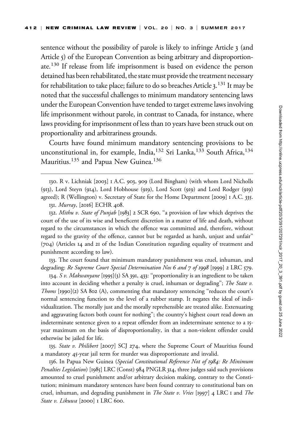sentence without the possibility of parole is likely to infringe Article 3 (and Article 5) of the European Convention as being arbitrary and disproportionate.130 If release from life imprisonment is based on evidence the person detained has been rehabilitated, the state must provide the treatment necessary for rehabilitation to take place; failure to do so breaches Article 3.  $^{131}$  It may be noted that the successful challenges to minimum mandatory sentencing laws under the European Convention have tended to target extreme laws involving life imprisonment without parole, in contrast to Canada, for instance, where laws providing for imprisonment of less than 10 years have been struck out on proportionality and arbitrariness grounds.

Courts have found minimum mandatory sentencing provisions to be unconstitutional in, for example, India,<sup>132</sup> Sri Lanka,<sup>133</sup> South Africa,<sup>134</sup> Mauritius.<sup>135</sup> and Papua New Guinea.<sup>136</sup>

130. R v. Lichniak [2003] 1 A.C. 903, 909 (Lord Bingham) (with whom Lord Nicholls (913), Lord Steyn (914), Lord Hobhouse (919), Lord Scott (919) and Lord Rodger (919) agreed); R (Wellington) v. Secretary of State for the Home Department [2009] 1 A.C. 335.

131. Murray, [2016] ECHR 408.

132. Mithu v. State of Punjab [1983] 2 SCR 690, "a provision of law which deprives the court of the use of its wise and beneficent discretion in a matter of life and death, without regard to the circumstances in which the offence was committed and, therefore, without regard to the gravity of the offence, cannot but be regarded as harsh, unjust and unfair'' (704) (Articles 14 and 21 of the Indian Constitution regarding equality of treatment and punishment according to law).

133. The court found that minimum mandatory punishment was cruel, inhuman, and degrading: Re Supreme Court Special Determination Nos 6 and 7 of 1998 [1999] 2 LRC 579.

134. S v. Makwanyane [1995](3) SA 391, 433: "proportionality is an ingredient to be taken into account in deciding whether a penalty is cruel, inhuman or degrading''; The State v. Thoms [1990](2) SA 802 (A), commenting that mandatory sentencing ''reduces the court's normal sentencing function to the level of a rubber stamp. It negates the ideal of individualization. The morally just and the morally reprehensible are treated alike. Extenuating and aggravating factors both count for nothing''; the country's highest court read down an indeterminate sentence given to a repeat offender from an indeterminate sentence to a 15 year maximum on the basis of disproportionality, in that a non-violent offender could otherwise be jailed for life.

135. State v. Philibert [2007] SCJ 274, where the Supreme Court of Mauritius found a mandatory 45-year jail term for murder was disproportionate and invalid.

136. In Papua New Guinea (Special Constitutional Reference Not of 1984: Re Minimum Penalties Legislation) [1985] LRC (Const) 984 PNGLR 314, three judges said such provisions amounted to cruel punishment and/or arbitrary decision making, contrary to the Constitution; minimum mandatory sentences have been found contrary to constitutional bars on cruel, inhuman, and degrading punishment in *The State v. Vries* [1997] 4 LRC 1 and *The* State v. Likuwa [2000] I LRC 600.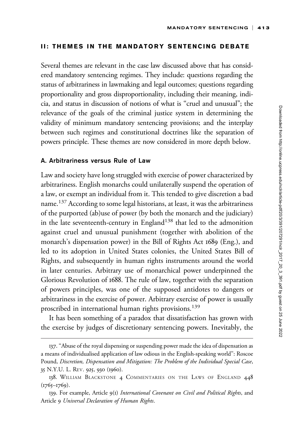## II: THEMES IN THE MANDATORY SENTENCING DEBATE

Several themes are relevant in the case law discussed above that has considered mandatory sentencing regimes. They include: questions regarding the status of arbitrariness in lawmaking and legal outcomes; questions regarding proportionality and gross disproportionality, including their meaning, indicia, and status in discussion of notions of what is ''cruel and unusual''; the relevance of the goals of the criminal justice system in determining the validity of minimum mandatory sentencing provisions; and the interplay between such regimes and constitutional doctrines like the separation of powers principle. These themes are now considered in more depth below.

## A. Arbitrariness versus Rule of Law

Law and society have long struggled with exercise of power characterized by arbitrariness. English monarchs could unilaterally suspend the operation of a law, or exempt an individual from it. This tended to give discretion a bad name.<sup>137</sup> According to some legal historians, at least, it was the arbitrariness of the purported (ab)use of power (by both the monarch and the judiciary) in the late seventeenth-century in England<sup>138</sup> that led to the admonition against cruel and unusual punishment (together with abolition of the monarch's dispensation power) in the Bill of Rights Act 1689 (Eng.), and led to its adoption in United States colonies, the United States Bill of Rights, and subsequently in human rights instruments around the world in later centuries. Arbitrary use of monarchical power underpinned the Glorious Revolution of 1688. The rule of law, together with the separation of powers principles, was one of the supposed antidotes to dangers or arbitrariness in the exercise of power. Arbitrary exercise of power is usually proscribed in international human rights provisions.<sup>139</sup>

It has been something of a paradox that dissatisfaction has grown with the exercise by judges of discretionary sentencing powers. Inevitably, the

<sup>137.</sup> ''Abuse of the royal dispensing or suspending power made the idea of dispensation as a means of individualised application of law odious in the English-speaking world'': Roscoe Pound, Discretion, Dispensation and Mitigation: The Problem of the Individual Special Case, 35 N.Y.U. L. REV. 925, 930 (1960).

<sup>138.</sup> WILLIAM BLACKSTONE 4 COMMENTARIES ON THE LAWS OF ENGLAND 448  $(1765 - 1769)$ .

<sup>139.</sup> For example, Article 9(1) International Covenant on Civil and Political Rights, and Article 9 Universal Declaration of Human Rights.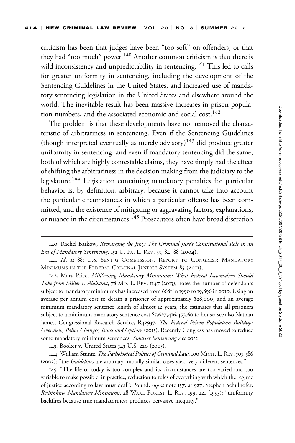criticism has been that judges have been ''too soft'' on offenders, or that they had "too much" power.<sup>140</sup> Another common criticism is that there is wild inconsistency and unpredictability in sentencing.<sup>141</sup> This led to calls for greater uniformity in sentencing, including the development of the Sentencing Guidelines in the United States, and increased use of mandatory sentencing legislation in the United States and elsewhere around the world. The inevitable result has been massive increases in prison population numbers, and the associated economic and social cost.<sup>142</sup>

The problem is that these developments have not removed the characteristic of arbitrariness in sentencing. Even if the Sentencing Guidelines (though interpreted eventually as merely advisory)<sup>143</sup> did produce greater uniformity in sentencing, and even if mandatory sentencing did the same, both of which are highly contestable claims, they have simply had the effect of shifting the arbitrariness in the decision making from the judiciary to the legislature.<sup>144</sup> Legislation containing mandatory penalties for particular behavior is, by definition, arbitrary, because it cannot take into account the particular circumstances in which a particular offense has been committed, and the existence of mitigating or aggravating factors, explanations, or nuance in the circumstances.<sup>145</sup> Prosecutors often have broad discretion

142. Mary Price, Mill(er)ing Mandatory Minimums: What Federal Lawmakers Should Take from Miller v. Alabama, 78 MO. L. REV. 1147 (2013), notes the number of defendants subject to mandatory minimums has increased from 6681 in 1990 to 19,896 in 2010. Using an average per annum cost to detain a prisoner of approximately \$28,000, and an average minimum mandatory sentence length of almost 12 years, she estimates that all prisoners subject to a minimum mandatory sentence cost \$5,627,416,473.60 to house; see also Nathan James, Congressional Research Service, R42937, The Federal Prison Population Buildup: Overview, Policy Changes, Issues and Options (2013). Recently Congress has moved to reduce some mandatory minimum sentences: Smarter Sentencing Act 2015.

143. Booker v. United States 543 U.S. 220 (2005).

144. William Stuntz, The Pathological Politics of Criminal Law, 100 MICH. L. REV. 505, 586 (2002): "the *Guidelines* are arbitrary; morally similar cases yield very different sentences."

145. ''The life of today is too complex and its circumstances are too varied and too variable to make possible, in practice, reduction to rules of everything with which the regime of justice according to law must deal": Pound, *supra* note 137, at 927; Stephen Schulhofer, Rethinking Mandatory Minimums, 28 WAKE FOREST L. REV. 199, 221 (1993): "uniformity backfires because true mandatoriness produces pervasive inequity.''

<sup>140.</sup> Rachel Barkow, Recharging the Jury: The Criminal Jury's Constitutional Role in an Era of Mandatory Sentencing, 152 U. PA. L. REV. 33, 84, 88 (2004).

<sup>141.</sup> Id. at 88; U.S. SENT'G COMMISSION, REPORT TO CONGRESS: MANDATORY MINIMUMS IN THE FEDERAL CRIMINAL JUSTICE SYSTEM 85 (2011).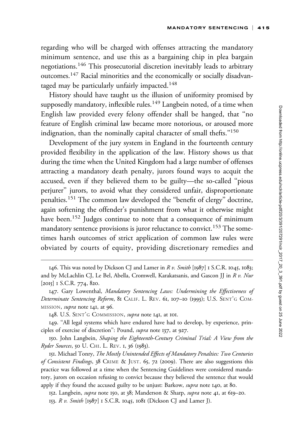regarding who will be charged with offenses attracting the mandatory minimum sentence, and use this as a bargaining chip in plea bargain negotiations.<sup>146</sup> This prosecutorial discretion inevitably leads to arbitrary outcomes.<sup>147</sup> Racial minorities and the economically or socially disadvantaged may be particularly unfairly impacted.<sup>148</sup>

History should have taught us the illusion of uniformity promised by supposedly mandatory, inflexible rules.<sup>149</sup> Langbein noted, of a time when English law provided every felony offender shall be hanged, that ''no feature of English criminal law became more notorious, or aroused more indignation, than the nominally capital character of small thefts."<sup>150</sup>

Development of the jury system in England in the fourteenth century provided flexibility in the application of the law. History shows us that during the time when the United Kingdom had a large number of offenses attracting a mandatory death penalty, jurors found ways to acquit the accused, even if they believed them to be guilty—the so-called ''pious perjurer'' jurors, to avoid what they considered unfair, disproportionate penalties.<sup>151</sup> The common law developed the ''benefit of clergy'' doctrine, again softening the offender's punishment from what it otherwise might have been.<sup>152</sup> Judges continue to note that a consequence of minimum mandatory sentence provisions is juror reluctance to convict.<sup>153</sup> The sometimes harsh outcomes of strict application of common law rules were obviated by courts of equity, providing discretionary remedies and

150. John Langbein, Shaping the Eighteenth-Century Criminal Trial: A View from the Ryder Sources, 50 U. CHI. L. REV. 1, 36 (1983).

151. Michael Tonry, *The Mostly Unintended Effects of Mandatory Penalties: Two Centuries* of Consistent Findings, 38 CRIME & JUST. 65, 72 (2009). There are also suggestions this practice was followed at a time when the Sentencing Guidelines were considered mandatory, jurors on occasion refusing to convict because they believed the sentence that would apply if they found the accused guilty to be unjust: Barkow, *supra* note 140, at 80.

152. Langbein, *supra* note 150, at 38; Manderson & Sharp, *supra* note 41, at 619-20. 153. R v. Smith [1987] 1 S.C.R. 1045, 1081 (Dickson CJ and Lamer J).

<sup>146.</sup> This was noted by Dickson CJ and Lamer in  $R v$ . Smith [1987] 1 S.C.R. 1045, 1083; and by McLachlin CJ, Le Bel, Abella, Cromwell, Karakatsanis, and Gascon JJ in R v. Nur [2015] 1 S.C.R. 774, 820.

<sup>147.</sup> Gary Lowenthal, Mandatory Sentencing Laws: Undermining the Effectiveness of Determinate Sentencing Reform, 81 CALIF. L. REV. 61, 107-10 (1993); U.S. SENT'G COM-MISSION, *supra* note 141, at 96.

<sup>148.</sup> U.S. SENT'G COMMISSION, *supra* note 141, at 101.

<sup>149.</sup> ''All legal systems which have endured have had to develop, by experience, principles of exercise of discretion'': Pound, supra note 137, at 927.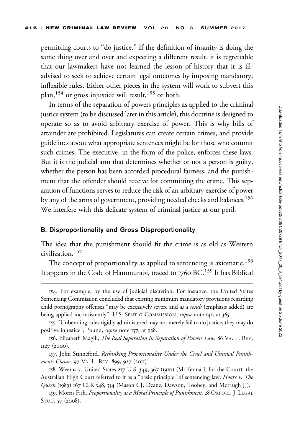permitting courts to "do justice." If the definition of insanity is doing the same thing over and over and expecting a different result, it is regrettable that our lawmakers have not learned the lesson of history that it is illadvised to seek to achieve certain legal outcomes by imposing mandatory, inflexible rules. Either other pieces in the system will work to subvert this plan,<sup>154</sup> or gross injustice will result,<sup>155</sup> or both.

In terms of the separation of powers principles as applied to the criminal justice system (to be discussed later in this article), this doctrine is designed to operate so as to avoid arbitrary exercise of power. This is why bills of attainder are prohibited. Legislatures can create certain crimes, and provide guidelines about what appropriate sentences might be for those who commit such crimes. The executive, in the form of the police, enforces these laws. But it is the judicial arm that determines whether or not a person is guilty, whether the person has been accorded procedural fairness, and the punishment that the offender should receive for committing the crime. This separation of functions serves to reduce the risk of an arbitrary exercise of power by any of the arms of government, providing needed checks and balances.<sup>156</sup> We interfere with this delicate system of criminal justice at our peril.

#### B. Disproportionality and Gross Disproportionality

The idea that the punishment should fit the crime is as old as Western civilization.<sup>157</sup>

The concept of proportionality as applied to sentencing is axiomatic.<sup>158</sup> It appears in the Code of Hammurabi, traced to 1760 BC.<sup>159</sup> It has Biblical

<sup>154.</sup> For example, by the use of judicial discretion. For instance, the United States Sentencing Commission concluded that existing minimum mandatory provisions regarding child pornography offenses "may be excessively severe and as a result (emphasis added) are being applied inconsistently": U.S. SENT'G COMMISSION, *supra* note 141, at 365.

<sup>155.</sup> ''Unbending rules rigidly administered may not merely fail to do justice, they may do positive injustice": Pound, *supra* note 137, at 928.

<sup>156.</sup> Elizabeth Magill, The Real Separation in Separation of Powers Law, 86 VA. L. REV. 1127 (2000).

<sup>157.</sup> John Stinneford, Rethinking Proportionality Under the Cruel and Unusual Punishments Clause, 97 VA. L. REV. 899, 927 (2011).

<sup>158.</sup> Weems v. United States 217 U.S. 349, 367 (1910) (McKenna J, for the Court); the Australian High Court referred to it as a "basic principle" of sentencing law: Hoare v. The Queen (1989) 167 CLR 348, 354 (Mason CJ, Deane, Dawson, Toohey, and McHugh JJ).

<sup>159.</sup> Morris Fish, Proportionality as a Moral Principle of Punishment, 28 OXFORD J. LEGAL STUD. 57 (2008).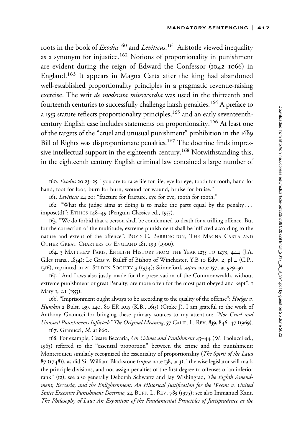roots in the book of *Exodus*<sup>160</sup> and *Leviticus*.<sup>161</sup> Aristotle viewed inequality as a synonym for injustice.<sup>162</sup> Notions of proportionality in punishment are evident during the reign of Edward the Confessor (1042–1066) in England.<sup>163</sup> It appears in Magna Carta after the king had abandoned well-established proportionality principles in a pragmatic revenue-raising exercise. The writ de moderata misericordia was used in the thirteenth and fourteenth centuries to successfully challenge harsh penalties.<sup>164</sup> A preface to a 1553 statute reflects proportionality principles,<sup>165</sup> and an early seventeenthcentury English case includes statements on proportionality.<sup>166</sup> At least one of the targets of the ''cruel and unusual punishment'' prohibition in the 1689 Bill of Rights was disproportionate penalties.<sup>167</sup> The doctrine finds impressive intellectual support in the eighteenth century.<sup>168</sup> Notwithstanding this, in the eighteenth century English criminal law contained a large number of

161. Leviticus 24:20: ''fracture for fracture, eye for eye, tooth for tooth.''

162. ''What the judge aims at doing is to make the parts equal by the penalty ... impose(d)'': ETHICS 148–49 (Penguin Classics ed., 1955).

163. ''We do forbid that a person shall be condemned to death for a trifling offence. But for the correction of the multitude, extreme punishment shall be inflicted according to the nature and extent of the offence'': BOYD C. BARRINGTON, THE MAGNA CARTA AND OTHER GREAT CHARTERS OF ENGLAND 181, 199 (1900).

164. 3 MATTHEW PARIS, ENGLISH HISTORY FROM THE YEAR 1235 TO 1273, 444 (J.A. Giles trans., 1854); Le Gras v. Bailiff of Bishop of Winchester, Y.B 10 Edw. 2, pl 4 (C.P., 1316), reprinted in 20 SELDEN SOCIETY 3 (1934); Stinneford, supra note 157, at 929-30.

165. ''And Laws also justly made for the preservation of the Commonwealth, without extreme punishment or great Penalty, are more often for the most part obeyed and kept'': 1 Mary 1, c.1 (1553).

166. "Imprisonment ought always to be according to the quality of the offense": *Hodges v.* Humkin 2 Bulst. 139, 140, 80 ER 1015 (K.B., 1615) (Croke J). I am grateful to the work of Anthony Granucci for bringing these primary sources to my attention: "Nor Cruel and Unusual Punishments Inflicted:" The Original Meaning, 57 CALIF. L. REV. 839, 846–47 (1969). 167. Granucci, id. at 860.

168. For example, Cesare Beccaria, On Crimes and Punishment 43-44 (W. Paolucci ed., 1963) referred to the ''essential proportion'' between the crime and the punishment; Montesquieu similarly recognized the essentiality of proportionality (The Spirit of the Laws 87 (1748)), as did Sir William Blackstone (supra note 138, at 3), ''the wise legislator will mark the principle divisions, and not assign penalties of the first degree to offenses of an inferior rank" (12); see also generally Deborah Schwartz and Jay Wishingrad, The Eighth Amendment, Beccaria, and the Enlightenment: An Historical Justification for the Weems v. United States Excessive Punishment Doctrine, 24 BUFF. L. REV. 783 (1975); see also Immanuel Kant, The Philosophy of Law: An Exposition of the Fundamental Principles of Jurisprudence as the

<sup>160.</sup> Exodus 20:23–25: ''you are to take life for life, eye for eye, tooth for tooth, hand for hand, foot for foot, burn for burn, wound for wound, bruise for bruise.''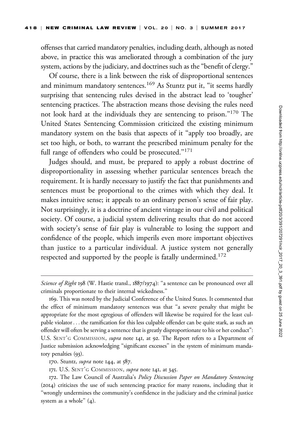offenses that carried mandatory penalties, including death, although as noted above, in practice this was ameliorated through a combination of the jury system, actions by the judiciary, and doctrines such as the ''benefit of clergy.''

Of course, there is a link between the risk of disproportional sentences and minimum mandatory sentences.<sup>169</sup> As Stuntz put it, "it seems hardly surprising that sentencing rules devised in the abstract lead to 'tougher' sentencing practices. The abstraction means those devising the rules need not look hard at the individuals they are sentencing to prison.''170 The United States Sentencing Commission criticized the existing minimum mandatory system on the basis that aspects of it ''apply too broadly, are set too high, or both, to warrant the prescribed minimum penalty for the full range of offenders who could be prosecuted."<sup>171</sup>

Judges should, and must, be prepared to apply a robust doctrine of disproportionality in assessing whether particular sentences breach the requirement. It is hardly necessary to justify the fact that punishments and sentences must be proportional to the crimes with which they deal. It makes intuitive sense; it appeals to an ordinary person's sense of fair play. Not surprisingly, it is a doctrine of ancient vintage in our civil and political society. Of course, a judicial system delivering results that do not accord with society's sense of fair play is vulnerable to losing the support and confidence of the people, which imperils even more important objectives than justice to a particular individual. A justice system not generally respected and supported by the people is fatally undermined.<sup>172</sup>

170. Stuntz, *supra* note 144, at 587.

171. U.S. SENT'G COMMISSION, supra note 141, at 345.

Science of Right 198 (W. Hastie transl., 1887/1974): "a sentence can be pronounced over all criminals proportionate to their internal wickedness.''

<sup>169.</sup> This was noted by the Judicial Conference of the United States. It commented that the effect of minimum mandatory sentences was that ''a severe penalty that might be appropriate for the most egregious of offenders will likewise be required for the least culpable violator... the ramification for this less culpable offender can be quite stark, as such an offender will often be serving a sentence that is greatly disproportionate to his or her conduct'': U.S. SENT'G COMMISSION, supra note 141, at 92. The Report refers to a Department of Justice submission acknowledging ''significant excesses'' in the system of minimum mandatory penalties (93).

<sup>172.</sup> The Law Council of Australia's Policy Discussion Paper on Mandatory Sentencing (2014) criticizes the use of such sentencing practice for many reasons, including that it ''wrongly undermines the community's confidence in the judiciary and the criminal justice system as a whole" (4).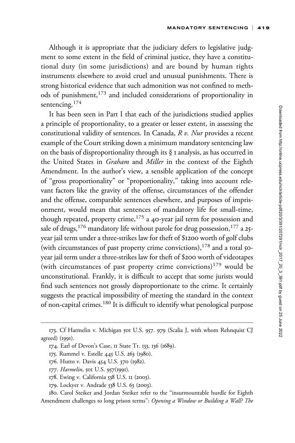Although it is appropriate that the judiciary defers to legislative judgment to some extent in the field of criminal justice, they have a constitutional duty (in some jurisdictions) and are bound by human rights instruments elsewhere to avoid cruel and unusual punishments. There is strong historical evidence that such admonition was not confined to methods of punishment,<sup>173</sup> and included considerations of proportionality in sentencing.<sup>174</sup>

It has been seen in Part I that each of the jurisdictions studied applies a principle of proportionality, to a greater or lesser extent, in assessing the constitutional validity of sentences. In Canada, R v. Nur provides a recent example of the Court striking down a minimum mandatory sentencing law on the basis of disproportionality through its § 1 analysis, as has occurred in the United States in *Graham* and *Miller* in the context of the Eighth Amendment. In the author's view, a sensible application of the concept of ''gross proportionality'' or ''proportionality,'' taking into account relevant factors like the gravity of the offense, circumstances of the offender and the offense, comparable sentences elsewhere, and purposes of imprisonment, would mean that sentences of mandatory life for small-time, though repeated, property crime, $175$  a 40-year jail term for possession and sale of drugs,<sup>176</sup> mandatory life without parole for drug possession,<sup>177</sup> a 25year jail term under a three-strikes law for theft of \$1200 worth of golf clubs (with circumstances of past property crime convictions),  $178$  and a total 50year jail term under a three-strikes law for theft of \$200 worth of videotapes (with circumstances of past property crime convictions)<sup>179</sup> would be unconstitutional. Frankly, it is difficult to accept that some jurists would find such sentences not grossly disproportionate to the crime. It certainly suggests the practical impossibility of meeting the standard in the context of non-capital crimes.<sup>180</sup> It is difficult to identify what penological purpose

180. Carol Steiker and Jordan Steiker refer to the ''insurmountable hurdle for Eighth Amendment challenges to long prison terms'': Opening a Window or Building a Wall? The

<sup>173.</sup> Cf Harmelin v. Michigan 501 U.S. 957. 979 (Scalia J, with whom Rehnquist CJ agreed) (1991).

<sup>174.</sup> Earl of Devon's Case, 11 State Tr. 133, 136 (1689).

<sup>175.</sup> Rummel v. Estelle 445 U.S. 263 (1980).

<sup>176.</sup> Hutto v. Davis 454 U.S. 370 (1982).

<sup>177.</sup> Harmelin, 501 U.S. 957(1991).

<sup>178.</sup> Ewing v. California 538 U.S. 11 (2003).

<sup>179.</sup> Lockyer v. Andrade 538 U.S. 63 (2003).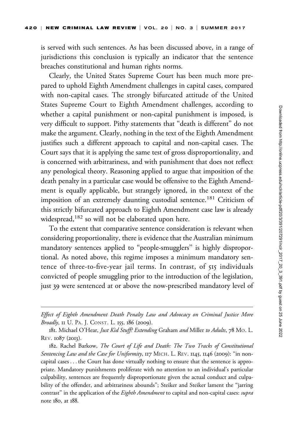is served with such sentences. As has been discussed above, in a range of jurisdictions this conclusion is typically an indicator that the sentence breaches constitutional and human rights norms.

Clearly, the United States Supreme Court has been much more prepared to uphold Eighth Amendment challenges in capital cases, compared with non-capital cases. The strongly bifurcated attitude of the United States Supreme Court to Eighth Amendment challenges, according to whether a capital punishment or non-capital punishment is imposed, is very difficult to support. Pithy statements that ''death is different'' do not make the argument. Clearly, nothing in the text of the Eighth Amendment justifies such a different approach to capital and non-capital cases. The Court says that it is applying the same test of gross disproportionality, and is concerned with arbitrariness, and with punishment that does not reflect any penological theory. Reasoning applied to argue that imposition of the death penalty in a particular case would be offensive to the Eighth Amendment is equally applicable, but strangely ignored, in the context of the imposition of an extremely daunting custodial sentence.<sup>181</sup> Criticism of this strictly bifurcated approach to Eighth Amendment case law is already widespread,<sup>182</sup> so will not be elaborated upon here.

To the extent that comparative sentence consideration is relevant when considering proportionality, there is evidence that the Australian minimum mandatory sentences applied to ''people-smugglers'' is highly disproportional. As noted above, this regime imposes a minimum mandatory sentence of three-to-five-year jail terms. In contrast, of 515 individuals convicted of people smuggling prior to the introduction of the legislation, just 39 were sentenced at or above the now-prescribed mandatory level of

Effect of Eighth Amendment Death Penalty Law and Advocacy on Criminal Justice More Broadly, II U. PA. J. CONST. L. 155, 186 (2009).

<sup>181.</sup> Michael O'Hear, Just Kid Stuff? Extending Graham and Miller to Adults, 78 Mo. L. REV. 1087 (2013).

<sup>182.</sup> Rachel Barkow, The Court of Life and Death: The Two Tracks of Constitutional Sentencing Law and the Case for Uniformity, 117 MICH. L. REV. 1145, 1146 (2009): "in noncapital cases ... the Court has done virtually nothing to ensure that the sentence is appropriate. Mandatory punishments proliferate with no attention to an individual's particular culpability, sentences are frequently disproportionate given the actual conduct and culpability of the offender, and arbitrariness abounds''; Steiker and Steiker lament the ''jarring contrast" in the application of the Eighth Amendment to capital and non-capital cases: supra note 180, at 188.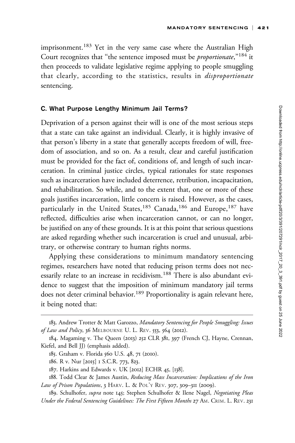imprisonment.<sup>183</sup> Yet in the very same case where the Australian High Court recognizes that "the sentence imposed must be *proportionate*,"<sup>184</sup> it then proceeds to validate legislative regime applying to people smuggling that clearly, according to the statistics, results in *disproportionate* sentencing.

## C. What Purpose Lengthy Minimum Jail Terms?

Deprivation of a person against their will is one of the most serious steps that a state can take against an individual. Clearly, it is highly invasive of that person's liberty in a state that generally accepts freedom of will, freedom of association, and so on. As a result, clear and careful justification must be provided for the fact of, conditions of, and length of such incarceration. In criminal justice circles, typical rationales for state responses such as incarceration have included deterrence, retribution, incapacitation, and rehabilitation. So while, and to the extent that, one or more of these goals justifies incarceration, little concern is raised. However, as the cases, particularly in the United States,<sup>185</sup> Canada,<sup>186</sup> and Europe,<sup>187</sup> have reflected, difficulties arise when incarceration cannot, or can no longer, be justified on any of these grounds. It is at this point that serious questions are asked regarding whether such incarceration is cruel and unusual, arbitrary, or otherwise contrary to human rights norms.

Applying these considerations to minimum mandatory sentencing regimes, researchers have noted that reducing prison terms does not necessarily relate to an increase in recidivism.<sup>188</sup> There is also abundant evidence to suggest that the imposition of minimum mandatory jail terms does not deter criminal behavior.<sup>189</sup> Proportionality is again relevant here, it being noted that:

<sup>183.</sup> Andrew Trotter & Matt Garozzo, Mandatory Sentencing for People Smuggling: Issues of Law and Policy, 36 MELBOURNE U. L. REV. 553, 564 (2012).

<sup>184.</sup> Magaming v. The Queen (2013) 252 CLR 381, 397 (French CJ, Hayne, Crennan, Kiefel, and Bell JJ) (emphasis added).

<sup>185.</sup> Graham v. Florida 560 U.S. 48, 71 (2010).

<sup>186.</sup> R v. Nur [2015] 1 S.C.R. 773, 823.

<sup>187.</sup> Harkins and Edwards v. UK [2012] ECHR 45, [138].

<sup>188.</sup> Todd Clear & James Austin, Reducing Mass Incarceration: Implications of the Iron Law of Prison Populations, 3 HARV. L. & POL'Y REV. 307, 309-311 (2009).

<sup>189.</sup> Schulhofer, supra note 145; Stephen Schulhofer & Ilene Nagel, Negotiating Pleas Under the Federal Sentencing Guidelines: The First Fifteen Months 27 AM. CRIM. L. REV. 231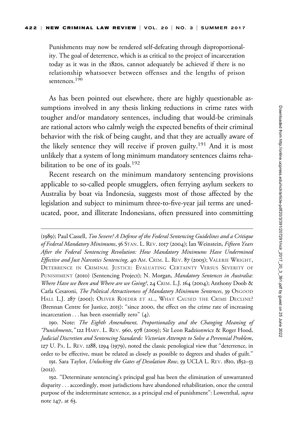Punishments may now be rendered self-defeating through disproportionality. The goal of deterrence, which is as critical to the project of incarceration today as it was in the 1820s, cannot adequately be achieved if there is no relationship whatsoever between offenses and the lengths of prison sentences.<sup>190</sup>

As has been pointed out elsewhere, there are highly questionable assumptions involved in any thesis linking reductions in crime rates with tougher and/or mandatory sentences, including that would-be criminals are rational actors who calmly weigh the expected benefits of their criminal behavior with the risk of being caught, and that they are actually aware of the likely sentence they will receive if proven guilty.<sup>191</sup> And it is most unlikely that a system of long minimum mandatory sentences claims rehabilitation to be one of its goals.<sup>192</sup>

Recent research on the minimum mandatory sentencing provisions applicable to so-called people smugglers, often ferrying asylum seekers to Australia by boat via Indonesia, suggests most of those affected by the legislation and subject to minimum three-to-five-year jail terms are uneducated, poor, and illiterate Indonesians, often pressured into committing

190. Note: The Eighth Amendment, Proportionality and the Changing Meaning of "Punishments," 122 HARV. L. REV. 960, 978 (2009); Sir Leon Radzionwicz & Roger Hood, Judicial Discretion and Sentencing Standards: Victorian Attempts to Solve a Perennial Problem, 127 U. PA. L. REV. 1288, 1294 (1979), noted the classic penological view that ''deterrence, in order to be effective, must be related as closely as possible to degrees and shades of guilt.''

<sup>(</sup>1989); Paul Cassell, Too Severe? A Defense of the Federal Sentencing Guidelines and a Critique of Federal Mandatory Minimums, 56 STAN. L. REV. 1017 (2004); Ian Weinstein, Fifteen Years After the Federal Sentencing Revolution: How Mandatory Minimums Have Undermined Effective and Just Narcotics Sentencing, 40 AM. CRIM. L. REV. 87 (2003); VALERIE WRIGHT, DETERRENCE IN CRIMINAL JUSTICE: EVALUATING CERTAINTY VERSUS SEVERITY OF PUNISHMENT (2010) (Sentencing Project); N. Morgan, Mandatory Sentences in Australia: Where Have we Been and Where are we Going?, 24 CRIM. L.J. 164 (2004); Anthony Doob & Carla Cesaroni, The Political Attractiveness of Mandatory Minimum Sentences, 39 OSGOOD HALL L.J. 287 (2001); OLIVER ROEDER ET AL., WHAT CAUSED THE CRIME DECLINE? (Brennan Centre for Justice, 2015): ''since 2000, the effect on the crime rate of increasing incarceration ... has been essentially zero'' (4).

<sup>191.</sup> Sara Taylor, Unlocking the Gates of Desolation Row, 59 UCLA L. REV. 1810, 1852–53 (2012).

<sup>192.</sup> ''Determinate sentencing's principal goal has been the elimination of unwarranted disparity ...accordingly, most jurisdictions have abandoned rehabilitation, once the central purpose of the indeterminate sentence, as a principal end of punishment": Lowenthal, supra note 147, at 63.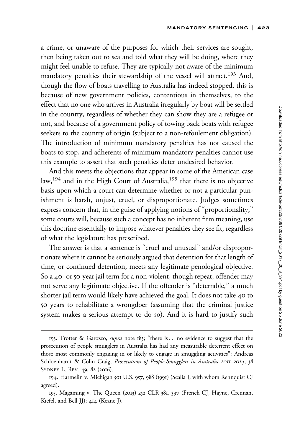a crime, or unaware of the purposes for which their services are sought, then being taken out to sea and told what they will be doing, where they might feel unable to refuse. They are typically not aware of the minimum mandatory penalties their stewardship of the vessel will attract.<sup>193</sup> And, though the flow of boats travelling to Australia has indeed stopped, this is because of new government policies, contentious in themselves, to the effect that no one who arrives in Australia irregularly by boat will be settled in the country, regardless of whether they can show they are a refugee or not, and because of a government policy of towing back boats with refugee seekers to the country of origin (subject to a non-refoulement obligation). The introduction of minimum mandatory penalties has not caused the boats to stop, and adherents of minimum mandatory penalties cannot use this example to assert that such penalties deter undesired behavior.

And this meets the objections that appear in some of the American case law,<sup>194</sup> and in the High Court of Australia,<sup>195</sup> that there is no objective basis upon which a court can determine whether or not a particular punishment is harsh, unjust, cruel, or disproportionate. Judges sometimes express concern that, in the guise of applying notions of ''proportionality,'' some courts will, because such a concept has no inherent firm meaning, use this doctrine essentially to impose whatever penalties they see fit, regardless of what the legislature has prescribed.

The answer is that a sentence is "cruel and unusual" and/or disproportionate where it cannot be seriously argued that detention for that length of time, or continued detention, meets any legitimate penological objective. So a 40- or 50-year jail term for a non-violent, though repeat, offender may not serve any legitimate objective. If the offender is ''deterrable,'' a much shorter jail term would likely have achieved the goal. It does not take 40 to 50 years to rehabilitate a wrongdoer (assuming that the criminal justice system makes a serious attempt to do so). And it is hard to justify such

<sup>193.</sup> Trotter & Garozzo, *supra* note 183; "there is ... no evidence to suggest that the prosecution of people smugglers in Australia has had any measurable deterrent effect on those most commonly engaging in or likely to engage in smuggling activities'': Andreas Schloenhardt & Colin Craig, Prosecutions of People-Smugglers in Australia 2011-2014, 38 SYDNEY L. REV. 49, 82 (2016).

<sup>194.</sup> Harmelin v. Michigan 501 U.S. 957, 988 (1991) (Scalia J, with whom Rehnquist CJ agreed).

<sup>195.</sup> Magaming v. The Queen (2013) 252 CLR 381, 397 (French CJ, Hayne, Crennan, Kiefel, and Bell JJ); 414 (Keane J).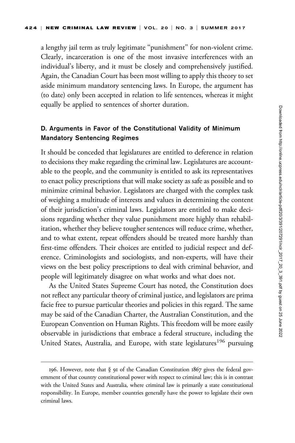a lengthy jail term as truly legitimate "punishment" for non-violent crime. Clearly, incarceration is one of the most invasive interferences with an individual's liberty, and it must be closely and comprehensively justified. Again, the Canadian Court has been most willing to apply this theory to set aside minimum mandatory sentencing laws. In Europe, the argument has (to date) only been accepted in relation to life sentences, whereas it might equally be applied to sentences of shorter duration.

# D. Arguments in Favor of the Constitutional Validity of Minimum Mandatory Sentencing Regimes

It should be conceded that legislatures are entitled to deference in relation to decisions they make regarding the criminal law. Legislatures are accountable to the people, and the community is entitled to ask its representatives to enact policy prescriptions that will make society as safe as possible and to minimize criminal behavior. Legislators are charged with the complex task of weighing a multitude of interests and values in determining the content of their jurisdiction's criminal laws. Legislators are entitled to make decisions regarding whether they value punishment more highly than rehabilitation, whether they believe tougher sentences will reduce crime, whether, and to what extent, repeat offenders should be treated more harshly than first-time offenders. Their choices are entitled to judicial respect and deference. Criminologists and sociologists, and non-experts, will have their views on the best policy prescriptions to deal with criminal behavior, and people will legitimately disagree on what works and what does not.

As the United States Supreme Court has noted, the Constitution does not reflect any particular theory of criminal justice, and legislators are prima facie free to pursue particular theories and policies in this regard. The same may be said of the Canadian Charter, the Australian Constitution, and the European Convention on Human Rights. This freedom will be more easily observable in jurisdictions that embrace a federal structure, including the United States, Australia, and Europe, with state legislatures<sup>196</sup> pursuing

<sup>196.</sup> However, note that § 91 of the Canadian Constitution 1867 gives the federal government of that country constitutional power with respect to criminal law; this is in contrast with the United States and Australia, where criminal law is primarily a state constitutional responsibility. In Europe, member countries generally have the power to legislate their own criminal laws.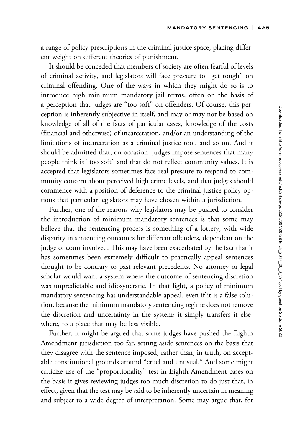a range of policy prescriptions in the criminal justice space, placing different weight on different theories of punishment.

It should be conceded that members of society are often fearful of levels of criminal activity, and legislators will face pressure to "get tough" on criminal offending. One of the ways in which they might do so is to introduce high minimum mandatory jail terms, often on the basis of a perception that judges are ''too soft'' on offenders. Of course, this perception is inherently subjective in itself, and may or may not be based on knowledge of all of the facts of particular cases, knowledge of the costs (financial and otherwise) of incarceration, and/or an understanding of the limitations of incarceration as a criminal justice tool, and so on. And it should be admitted that, on occasion, judges impose sentences that many people think is ''too soft'' and that do not reflect community values. It is accepted that legislators sometimes face real pressure to respond to community concern about perceived high crime levels, and that judges should commence with a position of deference to the criminal justice policy options that particular legislators may have chosen within a jurisdiction.

Further, one of the reasons why legislators may be pushed to consider the introduction of minimum mandatory sentences is that some may believe that the sentencing process is something of a lottery, with wide disparity in sentencing outcomes for different offenders, dependent on the judge or court involved. This may have been exacerbated by the fact that it has sometimes been extremely difficult to practically appeal sentences thought to be contrary to past relevant precedents. No attorney or legal scholar would want a system where the outcome of sentencing discretion was unpredictable and idiosyncratic. In that light, a policy of minimum mandatory sentencing has understandable appeal, even if it is a false solution, because the minimum mandatory sentencing regime does not remove the discretion and uncertainty in the system; it simply transfers it elsewhere, to a place that may be less visible.

Further, it might be argued that some judges have pushed the Eighth Amendment jurisdiction too far, setting aside sentences on the basis that they disagree with the sentence imposed, rather than, in truth, on acceptable constitutional grounds around "cruel and unusual." And some might criticize use of the ''proportionality'' test in Eighth Amendment cases on the basis it gives reviewing judges too much discretion to do just that, in effect, given that the test may be said to be inherently uncertain in meaning and subject to a wide degree of interpretation. Some may argue that, for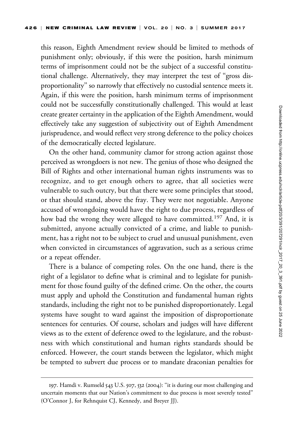this reason, Eighth Amendment review should be limited to methods of punishment only; obviously, if this were the position, harsh minimum terms of imprisonment could not be the subject of a successful constitutional challenge. Alternatively, they may interpret the test of ''gross disproportionality'' so narrowly that effectively no custodial sentence meets it. Again, if this were the position, harsh minimum terms of imprisonment could not be successfully constitutionally challenged. This would at least create greater certainty in the application of the Eighth Amendment, would effectively take any suggestion of subjectivity out of Eighth Amendment jurisprudence, and would reflect very strong deference to the policy choices of the democratically elected legislature.

On the other hand, community clamor for strong action against those perceived as wrongdoers is not new. The genius of those who designed the Bill of Rights and other international human rights instruments was to recognize, and to get enough others to agree, that all societies were vulnerable to such outcry, but that there were some principles that stood, or that should stand, above the fray. They were not negotiable. Anyone accused of wrongdoing would have the right to due process, regardless of how bad the wrong they were alleged to have committed.<sup>197</sup> And, it is submitted, anyone actually convicted of a crime, and liable to punishment, has a right not to be subject to cruel and unusual punishment, even when convicted in circumstances of aggravation, such as a serious crime or a repeat offender.

There is a balance of competing roles. On the one hand, there is the right of a legislator to define what is criminal and to legislate for punishment for those found guilty of the defined crime. On the other, the courts must apply and uphold the Constitution and fundamental human rights standards, including the right not to be punished disproportionately. Legal systems have sought to ward against the imposition of disproportionate sentences for centuries. Of course, scholars and judges will have different views as to the extent of deference owed to the legislature, and the robustness with which constitutional and human rights standards should be enforced. However, the court stands between the legislator, which might be tempted to subvert due process or to mandate draconian penalties for

<sup>197.</sup> Hamdi v. Rumseld 543 U.S. 507, 532 (2004): ''it is during our most challenging and uncertain moments that our Nation's commitment to due process is most severely tested'' (O'Connor J, for Rehnquist CJ, Kennedy, and Breyer JJ).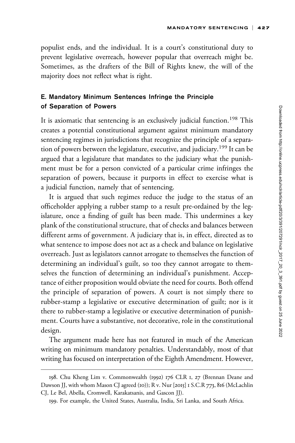populist ends, and the individual. It is a court's constitutional duty to prevent legislative overreach, however popular that overreach might be. Sometimes, as the drafters of the Bill of Rights knew, the will of the majority does not reflect what is right.

# E. Mandatory Minimum Sentences Infringe the Principle of Separation of Powers

It is axiomatic that sentencing is an exclusively judicial function.<sup>198</sup> This creates a potential constitutional argument against minimum mandatory sentencing regimes in jurisdictions that recognize the principle of a separation of powers between the legislature, executive, and judiciary.<sup>199</sup> It can be argued that a legislature that mandates to the judiciary what the punishment must be for a person convicted of a particular crime infringes the separation of powers, because it purports in effect to exercise what is a judicial function, namely that of sentencing.

It is argued that such regimes reduce the judge to the status of an officeholder applying a rubber stamp to a result pre-ordained by the legislature, once a finding of guilt has been made. This undermines a key plank of the constitutional structure, that of checks and balances between different arms of government. A judiciary that is, in effect, directed as to what sentence to impose does not act as a check and balance on legislative overreach. Just as legislators cannot arrogate to themselves the function of determining an individual's guilt, so too they cannot arrogate to themselves the function of determining an individual's punishment. Acceptance of either proposition would obviate the need for courts. Both offend the principle of separation of powers. A court is not simply there to rubber-stamp a legislative or executive determination of guilt; nor is it there to rubber-stamp a legislative or executive determination of punishment. Courts have a substantive, not decorative, role in the constitutional design.

The argument made here has not featured in much of the American writing on minimum mandatory penalties. Understandably, most of that writing has focused on interpretation of the Eighth Amendment. However,

<sup>198.</sup> Chu Kheng Lim v. Commonwealth (1992) 176 CLR 1, 27 (Brennan Deane and Dawson JJ, with whom Mason CJ agreed (10)); R v. Nur [2015] 1 S.C.R 773, 816 (McLachlin CJ, Le Bel, Abella, Cromwell, Karakatsanis, and Gascon JJ).

<sup>199.</sup> For example, the United States, Australia, India, Sri Lanka, and South Africa.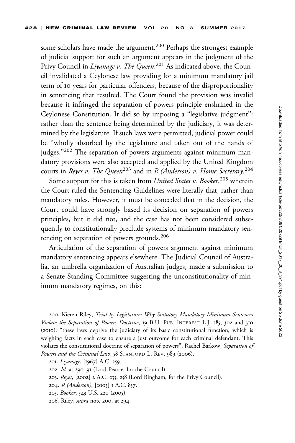some scholars have made the argument.<sup>200</sup> Perhaps the strongest example of judicial support for such an argument appears in the judgment of the Privy Council in *Liyanage v. The Queen*.<sup>201</sup> As indicated above, the Council invalidated a Ceylonese law providing for a minimum mandatory jail term of 10 years for particular offenders, because of the disproportionality in sentencing that resulted. The Court found the provision was invalid because it infringed the separation of powers principle enshrined in the Ceylonese Constitution. It did so by imposing a ''legislative judgment'': rather than the sentence being determined by the judiciary, it was determined by the legislature. If such laws were permitted, judicial power could be ''wholly absorbed by the legislature and taken out of the hands of judges."<sup>202</sup> The separation of powers arguments against minimum mandatory provisions were also accepted and applied by the United Kingdom courts in *Reyes v. The Queen*<sup>203</sup> and in *R (Anderson) v. Home Secretary.*<sup>204</sup>

Some support for this is taken from *United States v. Booker*,<sup>205</sup> wherein the Court ruled the Sentencing Guidelines were literally that, rather than mandatory rules. However, it must be conceded that in the decision, the Court could have strongly based its decision on separation of powers principles, but it did not, and the case has not been considered subsequently to constitutionally preclude systems of minimum mandatory sentencing on separation of powers grounds.<sup>206</sup>

Articulation of the separation of powers argument against minimum mandatory sentencing appears elsewhere. The Judicial Council of Australia, an umbrella organization of Australian judges, made a submission to a Senate Standing Committee suggesting the unconstitutionality of minimum mandatory regimes, on this:

- 205. Booker, 543 U.S. 220 (2005).
- 206. Riley, supra note 200, at 294.

<sup>200.</sup> Kieren Riley, Trial by Legislature: Why Statutory Mandatory Minimum Sentences Violate the Separation of Powers Doctrine, 19 B.U. PUB. INTEREST L.J. 285, 302 and 310 (2010): ''these laws deprive the judiciary of its basic constitutional function, which is weighing facts in each case to ensure a just outcome for each criminal defendant. This violates the constitutional doctrine of separation of powers''; Rachel Barkow, Separation of Powers and the Criminal Law, 58 STANFORD L. REV. 989 (2006).

<sup>201.</sup> Liyanage, [1967] A.C. 259.

<sup>202.</sup> Id. at 290–91 (Lord Pearce, for the Council).

<sup>203.</sup> Reyes, [2002] 2 A.C. 235, 258 (Lord Bingham, for the Privy Council).

<sup>204.</sup> R (Anderson), [2003] 1 A.C. 837.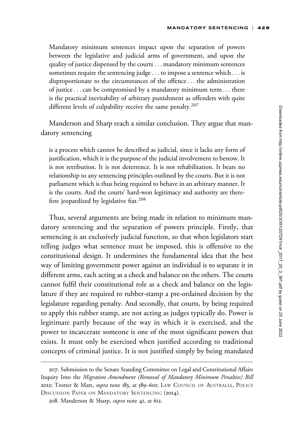Mandatory minimum sentences impact upon the separation of powers between the legislative and judicial arms of government, and upon the quality of justice dispensed by the courts ... mandatory minimum sentences sometimes require the sentencing judge... to impose a sentence which ... is disproportionate to the circumstances of the offence... the administration of justice...can be compromised by a mandatory minimum term ... there is the practical inevitability of arbitrary punishment as offenders with quite different levels of culpability receive the same penalty.<sup>207</sup>

Manderson and Sharp reach a similar conclusion. They argue that mandatory sentencing

is a process which cannot be described as judicial, since it lacks any form of justification, which it is the purpose of the judicial involvement to bestow. It is not retribution. It is not deterrence. It is not rehabilitation. It bears no relationship to any sentencing principles outlined by the courts. But it is not parliament which is thus being required to behave in an arbitrary manner. It is the courts. And the courts' hard-won legitimacy and authority are therefore jeopardized by legislative fiat.<sup>208</sup>

Thus, several arguments are being made in relation to minimum mandatory sentencing and the separation of powers principle. Firstly, that sentencing is an exclusively judicial function, so that when legislators start telling judges what sentence must be imposed, this is offensive to the constitutional design. It undermines the fundamental idea that the best way of limiting government power against an individual is to separate it in different arms, each acting as a check and balance on the others. The courts cannot fulfil their constitutional role as a check and balance on the legislature if they are required to rubber-stamp a pre-ordained decision by the legislature regarding penalty. And secondly, that courts, by being required to apply this rubber stamp, are not acting as judges typically do. Power is legitimate partly because of the way in which it is exercised, and the power to incarcerate someone is one of the most significant powers that exists. It must only be exercised when justified according to traditional concepts of criminal justice. It is not justified simply by being mandated

<sup>207.</sup> Submission to the Senate Standing Committee on Legal and Constitutional Affairs Inquiry Into the Migration Amendment (Removal of Mandatory Minimum Penalties) Bill 2012; Trotter & Matt, *supra* note 183, at 589-601; LAW COUNCIL OF AUSTRALIA, POLICY DISCUSSION PAPER ON MANDATORY SENTENCING (2014).

<sup>208.</sup> Manderson & Sharp, supra note 41, at 612.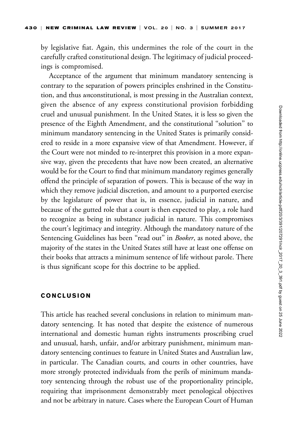by legislative fiat. Again, this undermines the role of the court in the carefully crafted constitutional design. The legitimacy of judicial proceedings is compromised.

Acceptance of the argument that minimum mandatory sentencing is contrary to the separation of powers principles enshrined in the Constitution, and thus unconstitutional, is most pressing in the Australian context, given the absence of any express constitutional provision forbidding cruel and unusual punishment. In the United States, it is less so given the presence of the Eighth Amendment, and the constitutional ''solution'' to minimum mandatory sentencing in the United States is primarily considered to reside in a more expansive view of that Amendment. However, if the Court were not minded to re-interpret this provision in a more expansive way, given the precedents that have now been created, an alternative would be for the Court to find that minimum mandatory regimes generally offend the principle of separation of powers. This is because of the way in which they remove judicial discretion, and amount to a purported exercise by the legislature of power that is, in essence, judicial in nature, and because of the gutted role that a court is then expected to play, a role hard to recognize as being in substance judicial in nature. This compromises the court's legitimacy and integrity. Although the mandatory nature of the Sentencing Guidelines has been "read out" in *Booker*, as noted above, the majority of the states in the United States still have at least one offense on their books that attracts a minimum sentence of life without parole. There is thus significant scope for this doctrine to be applied.

## CONCLUSION

This article has reached several conclusions in relation to minimum mandatory sentencing. It has noted that despite the existence of numerous international and domestic human rights instruments proscribing cruel and unusual, harsh, unfair, and/or arbitrary punishment, minimum mandatory sentencing continues to feature in United States and Australian law, in particular. The Canadian courts, and courts in other countries, have more strongly protected individuals from the perils of minimum mandatory sentencing through the robust use of the proportionality principle, requiring that imprisonment demonstrably meet penological objectives and not be arbitrary in nature. Cases where the European Court of Human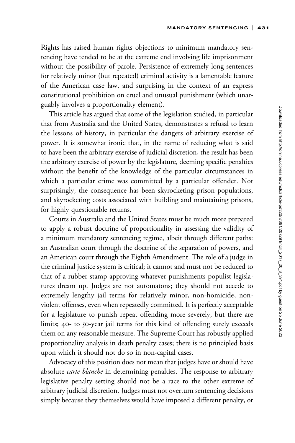Rights has raised human rights objections to minimum mandatory sentencing have tended to be at the extreme end involving life imprisonment without the possibility of parole. Persistence of extremely long sentences for relatively minor (but repeated) criminal activity is a lamentable feature of the American case law, and surprising in the context of an express constitutional prohibition on cruel and unusual punishment (which unarguably involves a proportionality element).

This article has argued that some of the legislation studied, in particular that from Australia and the United States, demonstrates a refusal to learn the lessons of history, in particular the dangers of arbitrary exercise of power. It is somewhat ironic that, in the name of reducing what is said to have been the arbitrary exercise of judicial discretion, the result has been the arbitrary exercise of power by the legislature, deeming specific penalties without the benefit of the knowledge of the particular circumstances in which a particular crime was committed by a particular offender. Not surprisingly, the consequence has been skyrocketing prison populations, and skyrocketing costs associated with building and maintaining prisons, for highly questionable returns.

Courts in Australia and the United States must be much more prepared to apply a robust doctrine of proportionality in assessing the validity of a minimum mandatory sentencing regime, albeit through different paths: an Australian court through the doctrine of the separation of powers, and an American court through the Eighth Amendment. The role of a judge in the criminal justice system is critical; it cannot and must not be reduced to that of a rubber stamp approving whatever punishments populist legislatures dream up. Judges are not automatons; they should not accede to extremely lengthy jail terms for relatively minor, non-homicide, nonviolent offenses, even when repeatedly committed. It is perfectly acceptable for a legislature to punish repeat offending more severely, but there are limits; 40- to 50-year jail terms for this kind of offending surely exceeds them on any reasonable measure. The Supreme Court has robustly applied proportionality analysis in death penalty cases; there is no principled basis upon which it should not do so in non-capital cases.

Advocacy of this position does not mean that judges have or should have absolute *carte blanche* in determining penalties. The response to arbitrary legislative penalty setting should not be a race to the other extreme of arbitrary judicial discretion. Judges must not overturn sentencing decisions simply because they themselves would have imposed a different penalty, or